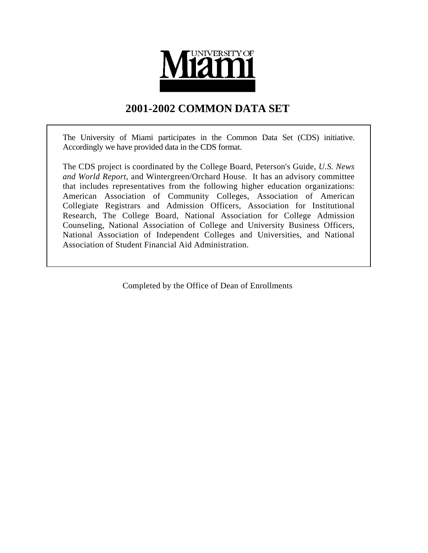

# **2001-2002 COMMON DATA SET**

The University of Miami participates in the Common Data Set (CDS) initiative. Accordingly we have provided data in the CDS format.

The CDS project is coordinated by the College Board, Peterson's Guide, *U.S. News and World Report*, and Wintergreen/Orchard House. It has an advisory committee that includes representatives from the following higher education organizations: American Association of Community Colleges, Association of American Collegiate Registrars and Admission Officers, Association for Institutional Research, The College Board, National Association for College Admission Counseling, National Association of College and University Business Officers, National Association of Independent Colleges and Universities, and National Association of Student Financial Aid Administration.

Completed by the Office of Dean of Enrollments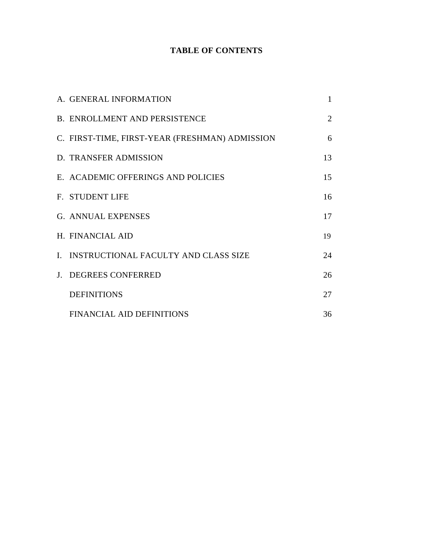## **TABLE OF CONTENTS**

| A. GENERAL INFORMATION                         | 1              |
|------------------------------------------------|----------------|
| <b>B. ENROLLMENT AND PERSISTENCE</b>           | $\overline{2}$ |
| C. FIRST-TIME, FIRST-YEAR (FRESHMAN) ADMISSION | 6              |
| D. TRANSFER ADMISSION                          | 13             |
| E. ACADEMIC OFFERINGS AND POLICIES             | 15             |
| <b>F. STUDENT LIFE</b>                         | 16             |
| <b>G. ANNUAL EXPENSES</b>                      | 17             |
| H. FINANCIAL AID                               | 19             |
| I. INSTRUCTIONAL FACULTY AND CLASS SIZE        | 24             |
| J. DEGREES CONFERRED                           | 26             |
| <b>DEFINITIONS</b>                             | 27             |
| <b>FINANCIAL AID DEFINITIONS</b>               | 36             |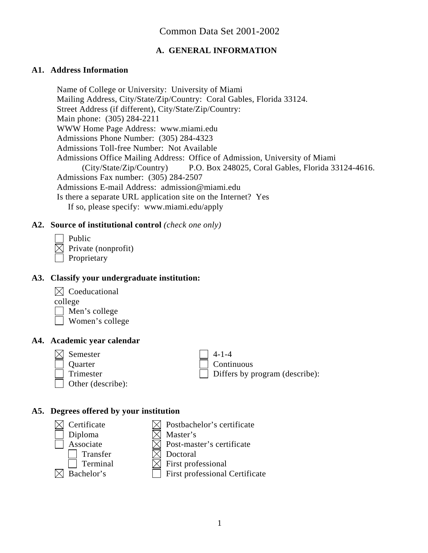## **A. GENERAL INFORMATION**

#### **A1. Address Information**

Name of College or University: University of Miami Mailing Address, City/State/Zip/Country: Coral Gables, Florida 33124. Street Address (if different), City/State/Zip/Country: Main phone: (305) 284-2211 WWW Home Page Address: www.miami.edu Admissions Phone Number: (305) 284-4323 Admissions Toll-free Number: Not Available Admissions Office Mailing Address: Office of Admission, University of Miami (City/State/Zip/Country) P.O. Box 248025, Coral Gables, Florida 33124-4616. Admissions Fax number: (305) 284-2507 Admissions E-mail Address: admission@miami.edu Is there a separate URL application site on the Internet? Yes If so, please specify: www.miami.edu/apply

#### **A2. Source of institutional control** *(check one only)*

| Public              |
|---------------------|
| $\boxtimes$ Private |
|                     |

| Proprietary

## **A3. Classify your undergraduate institution:**

(nonprofit)



college

Men's college

Women's college

#### **A4. Academic year calendar**

 $\bowtie$  Semester 14-1-4

Other (describe):

Quarter and Continuous Trimester  $\Box$  Differs by program (describe):

### **A5. Degrees offered by your institution**

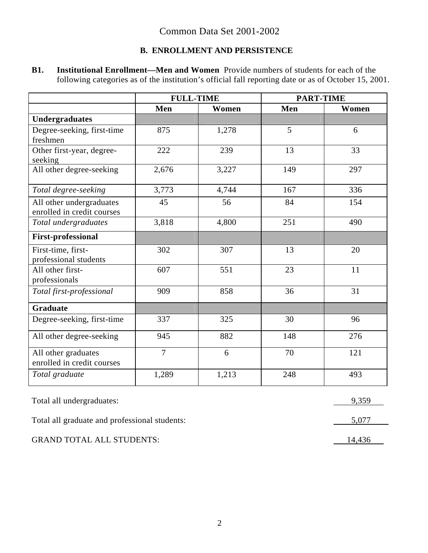## **B. ENROLLMENT AND PERSISTENCE**

**B1. Institutional Enrollment—Men and Women** Provide numbers of students for each of the following categories as of the institution's official fall reporting date or as of October 15, 2001.

|                                                        | <b>FULL-TIME</b> |       | <b>PART-TIME</b> |       |
|--------------------------------------------------------|------------------|-------|------------------|-------|
|                                                        | Men              | Women | Men              | Women |
| <b>Undergraduates</b>                                  |                  |       |                  |       |
| Degree-seeking, first-time<br>freshmen                 | 875              | 1,278 | 5                | 6     |
| Other first-year, degree-<br>seeking                   | 222              | 239   | 13               | 33    |
| All other degree-seeking                               | 2,676            | 3,227 | 149              | 297   |
| Total degree-seeking                                   | 3,773            | 4,744 | 167              | 336   |
| All other undergraduates<br>enrolled in credit courses | 45               | 56    | 84               | 154   |
| Total undergraduates                                   | 3,818            | 4,800 | 251              | 490   |
| <b>First-professional</b>                              |                  |       |                  |       |
| First-time, first-<br>professional students            | 302              | 307   | 13               | 20    |
| All other first-<br>professionals                      | 607              | 551   | 23               | 11    |
| Total first-professional                               | 909              | 858   | 36               | 31    |
| <b>Graduate</b>                                        |                  |       |                  |       |
| Degree-seeking, first-time                             | 337              | 325   | 30               | 96    |
| All other degree-seeking                               | 945              | 882   | 148              | 276   |
| All other graduates<br>enrolled in credit courses      | $\overline{7}$   | 6     | 70               | 121   |
| Total graduate                                         | 1,289            | 1,213 | 248              | 493   |
| Total all undergraduates:                              |                  |       |                  | 9,359 |

Total all graduate and professional students: 5,077 5,077

GRAND TOTAL ALL STUDENTS: 14,436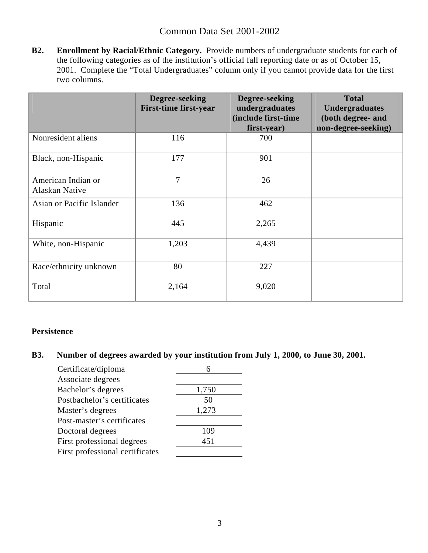**B2. Enrollment by Racial/Ethnic Category.** Provide numbers of undergraduate students for each of the following categories as of the institution's official fall reporting date or as of October 15, 2001. Complete the "Total Undergraduates" column only if you cannot provide data for the first two columns.

|                                      | Degree-seeking<br><b>First-time first-year</b> | Degree-seeking<br>undergraduates<br>(include first-time<br>first-year) | <b>Total</b><br><b>Undergraduates</b><br>(both degree- and<br>non-degree-seeking) |
|--------------------------------------|------------------------------------------------|------------------------------------------------------------------------|-----------------------------------------------------------------------------------|
| Nonresident aliens                   | 116                                            | 700                                                                    |                                                                                   |
| Black, non-Hispanic                  | 177                                            | 901                                                                    |                                                                                   |
| American Indian or<br>Alaskan Native | $\overline{7}$                                 | 26                                                                     |                                                                                   |
| Asian or Pacific Islander            | 136                                            | 462                                                                    |                                                                                   |
| Hispanic                             | 445                                            | 2,265                                                                  |                                                                                   |
| White, non-Hispanic                  | 1,203                                          | 4,439                                                                  |                                                                                   |
| Race/ethnicity unknown               | 80                                             | 227                                                                    |                                                                                   |
| Total                                | 2,164                                          | 9,020                                                                  |                                                                                   |

## **Persistence**

# **B3. Number of degrees awarded by your institution from July 1, 2000, to June 30, 2001.**

| Certificate/diploma             |       |
|---------------------------------|-------|
| Associate degrees               |       |
| Bachelor's degrees              | 1,750 |
| Postbachelor's certificates     | 50    |
| Master's degrees                | 1,273 |
| Post-master's certificates      |       |
| Doctoral degrees                | 109   |
| First professional degrees      | 451   |
| First professional certificates |       |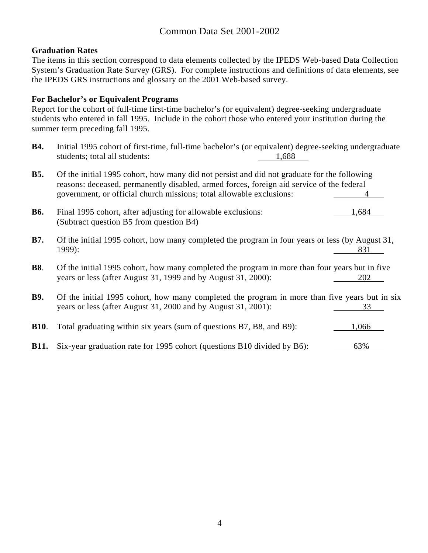#### **Graduation Rates**

The items in this section correspond to data elements collected by the IPEDS Web-based Data Collection System's Graduation Rate Survey (GRS). For complete instructions and definitions of data elements, see the IPEDS GRS instructions and glossary on the 2001 Web-based survey.

### **For Bachelor's or Equivalent Programs**

Report for the cohort of full-time first-time bachelor's (or equivalent) degree-seeking undergraduate students who entered in fall 1995. Include in the cohort those who entered your institution during the summer term preceding fall 1995.

**B4.** Initial 1995 cohort of first-time, full-time bachelor's (or equivalent) degree-seeking undergraduate students; total all students: 1,688

| <b>B5.</b>  | Of the initial 1995 cohort, how many did not persist and did not graduate for the following<br>reasons: deceased, permanently disabled, armed forces, foreign aid service of the federal<br>government, or official church missions; total allowable exclusions: |
|-------------|------------------------------------------------------------------------------------------------------------------------------------------------------------------------------------------------------------------------------------------------------------------|
| <b>B6.</b>  | Final 1995 cohort, after adjusting for allowable exclusions:<br>1,684<br>(Subtract question B5 from question B4)                                                                                                                                                 |
| <b>B7.</b>  | Of the initial 1995 cohort, how many completed the program in four years or less (by August 31,<br>1999):<br>831                                                                                                                                                 |
| <b>B8.</b>  | Of the initial 1995 cohort, how many completed the program in more than four years but in five<br>years or less (after August 31, 1999 and by August 31, 2000):<br>202                                                                                           |
| <b>B9.</b>  | Of the initial 1995 cohort, how many completed the program in more than five years but in six<br>years or less (after August 31, 2000 and by August 31, 2001):<br>33                                                                                             |
| <b>B10.</b> | Total graduating within six years (sum of questions B7, B8, and B9):<br>1,066                                                                                                                                                                                    |
| <b>B11.</b> | Six-year graduation rate for 1995 cohort (questions B10 divided by B6):<br>63%                                                                                                                                                                                   |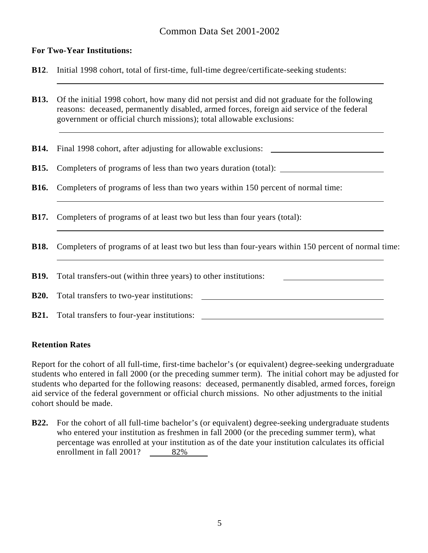#### **For Two-Year Institutions:**

**B12**. Initial 1998 cohort, total of first-time, full-time degree/certificate-seeking students:

**B13.** Of the initial 1998 cohort, how many did not persist and did not graduate for the following reasons: deceased, permanently disabled, armed forces, foreign aid service of the federal government or official church missions); total allowable exclusions:

**B14.** Final 1998 cohort, after adjusting for allowable exclusions:

**B15.** Completers of programs of less than two years duration (total):

- **B16.** Completers of programs of less than two years within 150 percent of normal time:
- **B17.** Completers of programs of at least two but less than four years (total):
- **B18.** Completers of programs of at least two but less than four-years within 150 percent of normal time:

**B19.** Total transfers-out (within three years) to other institutions:

**B20.** Total transfers to two-year institutions:

**B21.** Total transfers to four-year institutions:

#### **Retention Rates**

 $\overline{a}$ 

 $\overline{a}$ 

Report for the cohort of all full-time, first-time bachelor's (or equivalent) degree-seeking undergraduate students who entered in fall 2000 (or the preceding summer term). The initial cohort may be adjusted for students who departed for the following reasons: deceased, permanently disabled, armed forces, foreign aid service of the federal government or official church missions. No other adjustments to the initial cohort should be made.

**B22.** For the cohort of all full-time bachelor's (or equivalent) degree-seeking undergraduate students who entered your institution as freshmen in fall 2000 (or the preceding summer term), what percentage was enrolled at your institution as of the date your institution calculates its official enrollment in fall 2001? 82%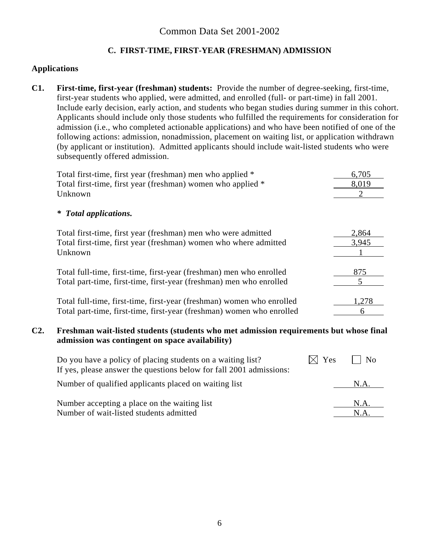# **C. FIRST-TIME, FIRST-YEAR (FRESHMAN) ADMISSION**

### **Applications**

**C1. First-time, first-year (freshman) students:** Provide the number of degree-seeking, first-time, first-year students who applied, were admitted, and enrolled (full- or part-time) in fall 2001. Include early decision, early action, and students who began studies during summer in this cohort. Applicants should include only those students who fulfilled the requirements for consideration for admission (i.e., who completed actionable applications) and who have been notified of one of the following actions: admission, nonadmission, placement on waiting list, or application withdrawn (by applicant or institution). Admitted applicants should include wait-listed students who were subsequently offered admission.

| Total first-time, first year (freshman) men who applied *             | 6,705 |
|-----------------------------------------------------------------------|-------|
| Total first-time, first year (freshman) women who applied *           | 8,019 |
| Unknown                                                               |       |
| <b>Total applications.</b><br>⋇                                       |       |
| Total first-time, first year (freshman) men who were admitted         | 2,864 |
| Total first-time, first year (freshman) women who where admitted      | 3,945 |
| Unknown                                                               |       |
| Total full-time, first-time, first-year (freshman) men who enrolled   | 875   |
| Total part-time, first-time, first-year (freshman) men who enrolled   |       |
| Total full-time, first-time, first-year (freshman) women who enrolled | 1,278 |
| Total part-time, first-time, first-year (freshman) women who enrolled | 6     |

#### **C2. Freshman wait-listed students (students who met admission requirements but whose final admission was contingent on space availability)**

| Do you have a policy of placing students on a waiting list?<br>If yes, please answer the questions below for fall 2001 admissions: | Yes | N <sub>0</sub> |
|------------------------------------------------------------------------------------------------------------------------------------|-----|----------------|
| Number of qualified applicants placed on waiting list                                                                              |     | N.A.           |
| Number accepting a place on the waiting list                                                                                       |     | N.A.           |
| Number of wait-listed students admitted                                                                                            |     | N.A            |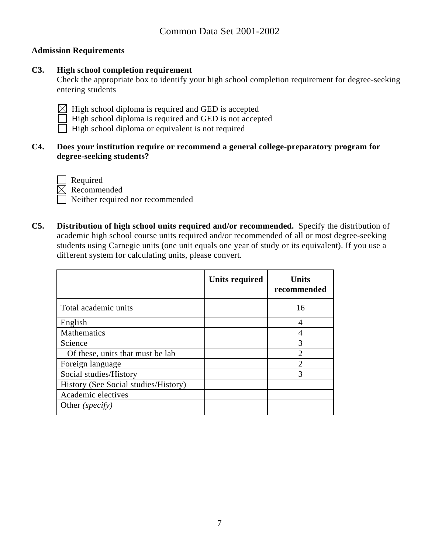### **Admission Requirements**

## **C3. High school completion requirement**

Check the appropriate box to identify your high school completion requirement for degree-seeking entering students

- $\boxtimes$  High school diploma is required and GED is accepted
- High school diploma is required and GED is not accepted
- $\Box$  High school diploma or equivalent is not required

## **C4. Does your institution require or recommend a general college-preparatory program for degree-seeking students?**



 Required Recommended Neither required nor recommended

**C5. Distribution of high school units required and/or recommended.** Specify the distribution of academic high school course units required and/or recommended of all or most degree-seeking students using Carnegie units (one unit equals one year of study or its equivalent). If you use a different system for calculating units, please convert.

|                                      | Units required | <b>Units</b><br>recommended |
|--------------------------------------|----------------|-----------------------------|
| Total academic units                 |                | 16                          |
| English                              |                | 4                           |
| Mathematics                          |                |                             |
| Science                              |                | 3                           |
| Of these, units that must be lab     |                | $\mathfrak{D}$              |
| Foreign language                     |                | $\mathfrak{D}$              |
| Social studies/History               |                | 3                           |
| History (See Social studies/History) |                |                             |
| Academic electives                   |                |                             |
| Other <i>(specify)</i>               |                |                             |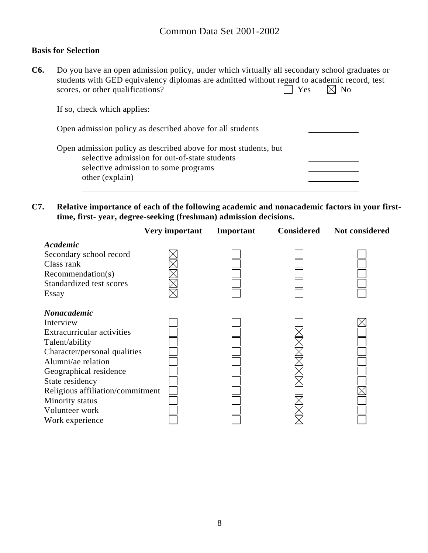#### **Basis for Selection**

**C6.** Do you have an open admission policy, under which virtually all secondary school graduates or students with GED equivalency diplomas are admitted without regard to academic record, test scores, or other qualifications?  $\Box$  Yes  $\Box$  No

If so, check which applies:

| Open admission policy as described above for all students                                                                                                                   |  |
|-----------------------------------------------------------------------------------------------------------------------------------------------------------------------------|--|
| Open admission policy as described above for most students, but<br>selective admission for out-of-state students<br>selective admission to some programs<br>other (explain) |  |

**C7. Relative importance of each of the following academic and nonacademic factors in your firsttime, first- year, degree-seeking (freshman) admission decisions.** 

|                                                                                                                                                                                                                 | Very important | Important | <b>Considered</b> | Not considered |
|-----------------------------------------------------------------------------------------------------------------------------------------------------------------------------------------------------------------|----------------|-----------|-------------------|----------------|
| Academic<br>Secondary school record<br>Class rank<br>Recommendation(s)<br>Standardized test scores<br>Essay                                                                                                     |                |           |                   |                |
| Nonacademic<br>Interview<br>Extracurricular activities<br>Talent/ability<br>Character/personal qualities<br>Alumni/ae relation<br>Geographical residence<br>State residency<br>Religious affiliation/commitment |                |           |                   |                |
| Minority status<br>Volunteer work<br>Work experience                                                                                                                                                            |                |           |                   |                |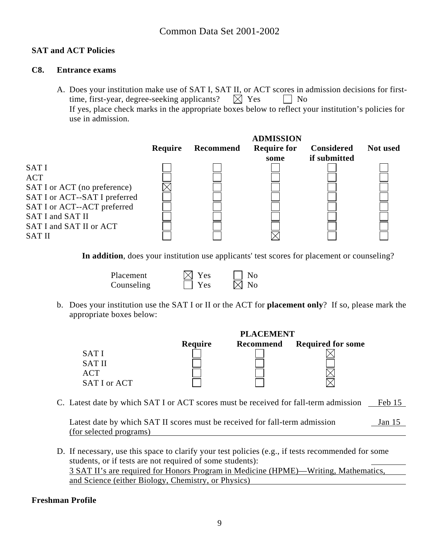## **SAT and ACT Policies**

### **C8. Entrance exams**

A. Does your institution make use of SAT I, SAT II, or ACT scores in admission decisions for firsttime, first-year, degree-seeking applicants?  $\boxtimes$  Yes  $\Box$  No If yes, place check marks in the appropriate boxes below to reflect your institution's policies for use in admission.

|         |           | <b>ADMISSION</b>   |                   |          |
|---------|-----------|--------------------|-------------------|----------|
| Require | Recommend | <b>Require for</b> | <b>Considered</b> | Not used |
|         |           | some               | if submitted      |          |
|         |           |                    |                   |          |
|         |           |                    |                   |          |
|         |           |                    |                   |          |
|         |           |                    |                   |          |
|         |           |                    |                   |          |
|         |           |                    |                   |          |
|         |           |                    |                   |          |
|         |           |                    |                   |          |
|         |           |                    |                   |          |

**In addition**, does your institution use applicants' test scores for placement or counseling?

| <b>Placement</b> | $\boxtimes$ Yes | $\vert$   No   |
|------------------|-----------------|----------------|
| Counseling       | $\Box$ Yes      | $\boxtimes$ No |

b. Does your institution use the SAT I or II or the ACT for **placement only**? If so, please mark the appropriate boxes below:

|               |                | <b>PLACEMENT</b> |                          |
|---------------|----------------|------------------|--------------------------|
|               | <b>Require</b> | <b>Recommend</b> | <b>Required for some</b> |
| <b>SATI</b>   |                |                  |                          |
| <b>SAT II</b> |                |                  |                          |
| ACT           |                |                  |                          |
| SAT I or ACT  |                |                  |                          |

C. Latest date by which SAT I or ACT scores must be received for fall-term admission Feb 15

Latest date by which SAT II scores must be received for fall-term admission Jan 15 (for selected programs)

D. If necessary, use this space to clarify your test policies (e.g., if tests recommended for some students, or if tests are not required of some students): 3 SAT II's are required for Honors Program in Medicine (HPME)—Writing, Mathematics, and Science (either Biology, Chemistry, or Physics)

### **Freshman Profile**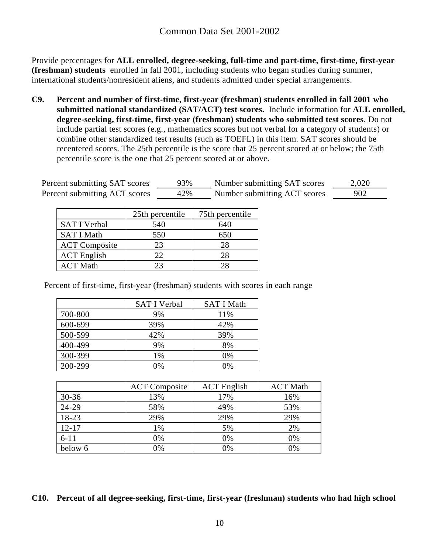Provide percentages for **ALL enrolled, degree-seeking, full-time and part-time, first-time, first-year (freshman) students** enrolled in fall 2001, including students who began studies during summer, international students/nonresident aliens, and students admitted under special arrangements.

**C9. Percent and number of first-time, first-year (freshman) students enrolled in fall 2001 who submitted national standardized (SAT/ACT) test scores.** Include information for **ALL enrolled, degree-seeking, first-time, first-year (freshman) students who submitted test scores**. Do not include partial test scores (e.g., mathematics scores but not verbal for a category of students) or combine other standardized test results (such as TOEFL) in this item. SAT scores should be recentered scores. The 25th percentile is the score that 25 percent scored at or below; the 75th percentile score is the one that 25 percent scored at or above.

| Percent submitting SAT scores | 93% | Number submitting SAT scores | 2,020 |
|-------------------------------|-----|------------------------------|-------|
| Percent submitting ACT scores | 42% | Number submitting ACT scores | 902   |

|                      | 25th percentile | 75th percentile |
|----------------------|-----------------|-----------------|
| <b>SAT I Verbal</b>  | 540             | 640             |
| <b>SAT I Math</b>    | 550             | 650             |
| <b>ACT</b> Composite | 23              | 28              |
| <b>ACT</b> English   | 22              | 28              |
| <b>ACT Math</b>      | 23              | 28              |

Percent of first-time, first-year (freshman) students with scores in each range

|         | <b>SAT I Verbal</b> | <b>SAT I Math</b> |
|---------|---------------------|-------------------|
| 700-800 | 9%                  | 11%               |
| 600-699 | 39%                 | 42%               |
| 500-599 | 42%                 | 39%               |
| 400-499 | 9%                  | 8%                |
| 300-399 | 1%                  | 0%                |
| 200-299 | 0%                  | 0%                |

|           | <b>ACT</b> Composite | <b>ACT</b> English | <b>ACT Math</b> |
|-----------|----------------------|--------------------|-----------------|
| $30 - 36$ | 13%                  | 17%                | 16%             |
| 24-29     | 58%                  | 49%                | 53%             |
| 18-23     | 29%                  | 29%                | 29%             |
| $12 - 17$ | 1%                   | 5%                 | 2%              |
| $6 - 11$  | 0%                   | 0%                 | 0%              |
| below 6   | 0%                   | 0%                 | 0%              |

**C10. Percent of all degree-seeking, first-time, first-year (freshman) students who had high school**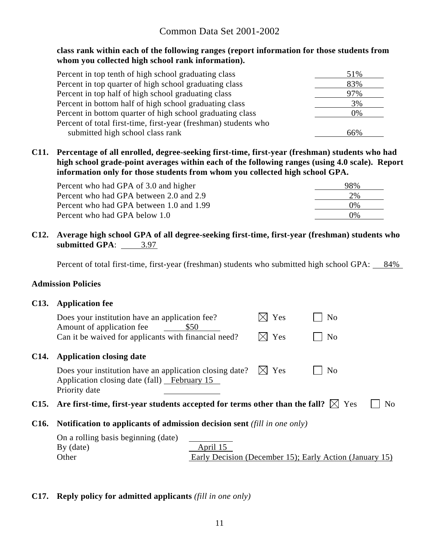#### **class rank within each of the following ranges (report information for those students from whom you collected high school rank information).**

| Percent in top tenth of high school graduating class            | 51% |
|-----------------------------------------------------------------|-----|
| Percent in top quarter of high school graduating class          | 83% |
| Percent in top half of high school graduating class             | 97% |
| Percent in bottom half of high school graduating class          | 3%  |
| Percent in bottom quarter of high school graduating class       | 0%  |
| Percent of total first-time, first-year (freshman) students who |     |
| submitted high school class rank                                | 66% |

**C11. Percentage of all enrolled, degree-seeking first-time, first-year (freshman) students who had high school grade-point averages within each of the following ranges (using 4.0 scale). Report information only for those students from whom you collected high school GPA.** 

| Percent who had GPA of 3.0 and higher    | 98%   |
|------------------------------------------|-------|
| Percent who had GPA between 2.0 and 2.9  | 2%    |
| Percent who had GPA between 1.0 and 1.99 | $0\%$ |
| Percent who had GPA below 1.0            | $0\%$ |

**C12. Average high school GPA of all degree-seeking first-time, first-year (freshman) students who submitted GPA**: 3.97

Percent of total first-time, first-year (freshman) students who submitted high school GPA:  $84\%$ 

#### **Admission Policies**

| C <sub>13</sub> . | <b>Application fee</b> |  |  |
|-------------------|------------------------|--|--|
|                   |                        |  |  |

|      | Does your institution have an application fee?<br>Amount of application fee<br>Can it be waived for applicants with financial need? | \$50                                                    | Yes<br>Yes | N <sub>o</sub><br>N <sub>o</sub> |                |
|------|-------------------------------------------------------------------------------------------------------------------------------------|---------------------------------------------------------|------------|----------------------------------|----------------|
| C14. | <b>Application closing date</b>                                                                                                     |                                                         |            |                                  |                |
|      | Does your institution have an application closing date?<br>Application closing date (fall) February 15<br>Priority date             |                                                         | Yes        | N <sub>0</sub>                   |                |
|      | C15. Are first-time, first-year students accepted for terms other than the fall? $\boxtimes$ Yes                                    |                                                         |            |                                  | N <sub>0</sub> |
| C16. | <b>Notification to applicants of admission decision sent</b> (fill in one only)                                                     |                                                         |            |                                  |                |
|      | On a rolling basis beginning (date)                                                                                                 |                                                         |            |                                  |                |
|      | $By$ (date)                                                                                                                         | April 15                                                |            |                                  |                |
|      | Other                                                                                                                               | Early Decision (December 15); Early Action (January 15) |            |                                  |                |

#### **C17. Reply policy for admitted applicants** *(fill in one only)*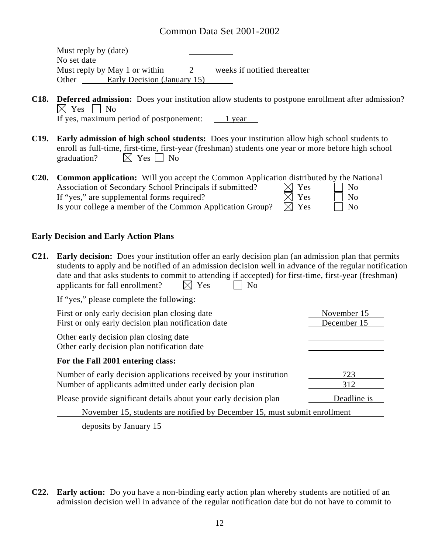Must reply by (date) No set date Must reply by May 1 or within 2 weeks if notified thereafter Other Early Decision (January 15)

**C18. Deferred admission:** Does your institution allow students to postpone enrollment after admission?  $\boxtimes$  Yes  $\Box$  No If yes, maximum period of postponement: 1 year

**C19. Early admission of high school students:** Does your institution allow high school students to

- enroll as full-time, first-time, first-year (freshman) students one year or more before high school graduation?  $\boxtimes$  Yes  $\Box$  No
- **C20. Common application:** Will you accept the Common Application distributed by the National Association of Secondary School Principals if submitted?  $\boxtimes$  Yes  $\Box$  No If "yes," are supplemental forms required?  $\boxtimes$  Yes  $\Box$  No Is your college a member of the Common Application Group?  $\overline{\boxtimes}$  Yes  $\overline{\square}$  No

#### **Early Decision and Early Action Plans**

**C21. Early decision:** Does your institution offer an early decision plan (an admission plan that permits students to apply and be notified of an admission decision well in advance of the regular notification date and that asks students to commit to attending if accepted) for first-time, first-year (freshman) applicants for fall enrollment?  $\boxtimes$  Yes  $\Box$  No

If "yes," please complete the following:

| First or only early decision plan closing date<br>First or only early decision plan notification date                         | November 15<br>December 15 |
|-------------------------------------------------------------------------------------------------------------------------------|----------------------------|
| Other early decision plan closing date<br>Other early decision plan notification date                                         |                            |
| For the Fall 2001 entering class:                                                                                             |                            |
| Number of early decision applications received by your institution<br>Number of applicants admitted under early decision plan | 723<br>312                 |
| Please provide significant details about your early decision plan                                                             | Deadline is                |
| November 15, students are notified by December 15, must submit enrollment                                                     |                            |
| deposits by January 15                                                                                                        |                            |

**C22. Early action:** Do you have a non-binding early action plan whereby students are notified of an admission decision well in advance of the regular notification date but do not have to commit to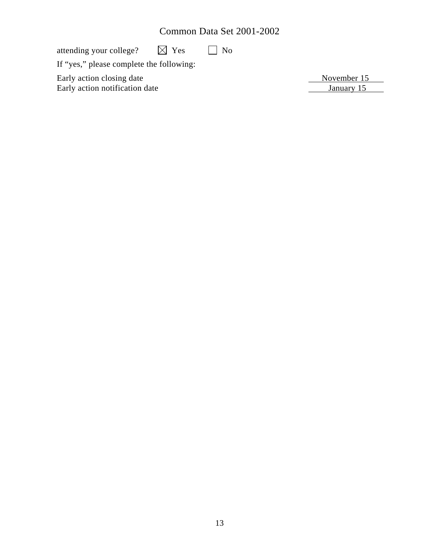attending your college?  $\boxtimes$  Yes  $\Box$  No

If "yes," please complete the following:

Early action closing date November 15 Early action notification date January 15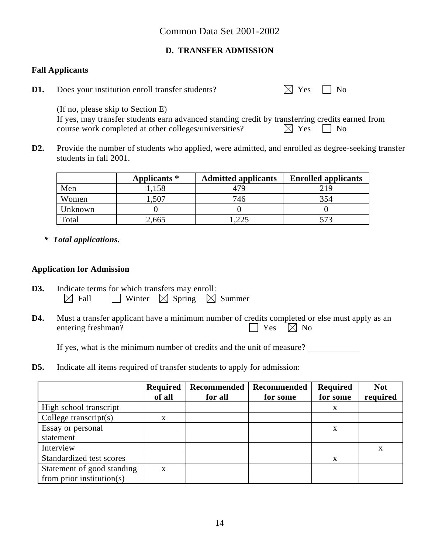# **D. TRANSFER ADMISSION**

### **Fall Applicants**

| D1. | Does your institution enroll transfer students? | $\boxtimes$ Yes $\Box$ No |  |
|-----|-------------------------------------------------|---------------------------|--|
|-----|-------------------------------------------------|---------------------------|--|

(If no, please skip to Section E)

|  | If yes, may transfer students earn advanced standing credit by transferring credits earned from |  |  |  |                           |  |
|--|-------------------------------------------------------------------------------------------------|--|--|--|---------------------------|--|
|  | course work completed at other colleges/universities?                                           |  |  |  | $\boxtimes$ Yes $\Box$ No |  |

**D2.** Provide the number of students who applied, were admitted, and enrolled as degree-seeking transfer students in fall 2001.

|         | Applicants * | <b>Admitted applicants</b> | <b>Enrolled applicants</b> |
|---------|--------------|----------------------------|----------------------------|
| Men     | 1,158        | 479                        | 219                        |
| Women   | .,507        | 746                        | 354                        |
| Unknown |              |                            |                            |
| Total   | 2,665        | .225                       | 573                        |

*\* Total applications.* 

## **Application for Admission**

- **D3.** Indicate terms for which transfers may enroll:<br>  $\boxtimes$  Fall  $\Box$  Winter  $\boxtimes$  Spring  $\boxtimes$  Summer  $\boxtimes$  Fall  $\Box$  Winter  $\boxtimes$  Spring
- **D4.** Must a transfer applicant have a minimum number of credits completed or else must apply as an entering freshman?  $\Box$  Yes  $\Box$  No

If yes, what is the minimum number of credits and the unit of measure?

**D5.** Indicate all items required of transfer students to apply for admission:

|                            | <b>Required</b><br>of all | Recommended<br>for all | <b>Recommended</b><br>for some | Required<br>for some | <b>Not</b><br>required |
|----------------------------|---------------------------|------------------------|--------------------------------|----------------------|------------------------|
| High school transcript     |                           |                        |                                | X                    |                        |
| College transcript $(s)$   | X                         |                        |                                |                      |                        |
| Essay or personal          |                           |                        |                                | X                    |                        |
| statement                  |                           |                        |                                |                      |                        |
| Interview                  |                           |                        |                                |                      | X                      |
| Standardized test scores   |                           |                        |                                | X                    |                        |
| Statement of good standing | X                         |                        |                                |                      |                        |
| from prior institution(s)  |                           |                        |                                |                      |                        |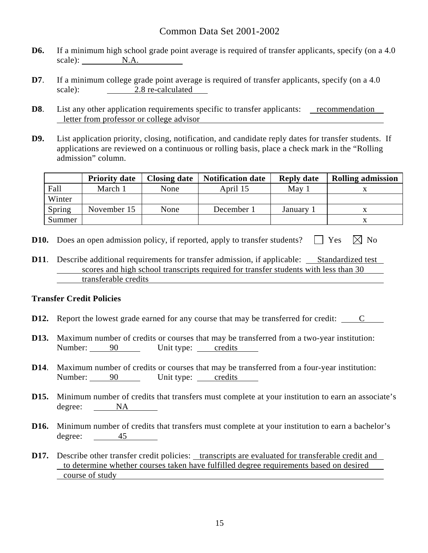- **D6.** If a minimum high school grade point average is required of transfer applicants, specify (on a 4.0) scale): N.A.
- **D7**. If a minimum college grade point average is required of transfer applicants, specify (on a 4.0) scale): 2.8 re-calculated
- **D8**. List any other application requirements specific to transfer applicants: <u>recommendation</u> letter from professor or college advisor
- **D9.** List application priority, closing, notification, and candidate reply dates for transfer students. If applications are reviewed on a continuous or rolling basis, place a check mark in the "Rolling admission" column.

|        | <b>Priority date</b> | <b>Closing date</b> | <b>Notification date</b> | <b>Reply date</b> | <b>Rolling admission</b> |
|--------|----------------------|---------------------|--------------------------|-------------------|--------------------------|
| Fall   | March 1              | None                | April 15                 | May               |                          |
| Winter |                      |                     |                          |                   |                          |
| Spring | November 15          | None                | December 1               | January           |                          |
| Summer |                      |                     |                          |                   |                          |

- **D10.** Does an open admission policy, if reported, apply to transfer students?  $\Box$  Yes  $\Box$  No
- **D11.** Describe additional requirements for transfer admission, if applicable: Standardized test scores and high school transcripts required for transfer students with less than 30 transferable credits

#### **Transfer Credit Policies**

- **D12.** Report the lowest grade earned for any course that may be transferred for credit: C
- **D13.** Maximum number of credits or courses that may be transferred from a two-year institution: Number: 90 Unit type: credits
- **D14**. Maximum number of credits or courses that may be transferred from a four-year institution: Number: 90 Unit type: credits
- **D15.** Minimum number of credits that transfers must complete at your institution to earn an associate's degree: NA
- **D16.** Minimum number of credits that transfers must complete at your institution to earn a bachelor's degree: 45
- **D17.** Describe other transfer credit policies: transcripts are evaluated for transferable credit and to determine whether courses taken have fulfilled degree requirements based on desired course of study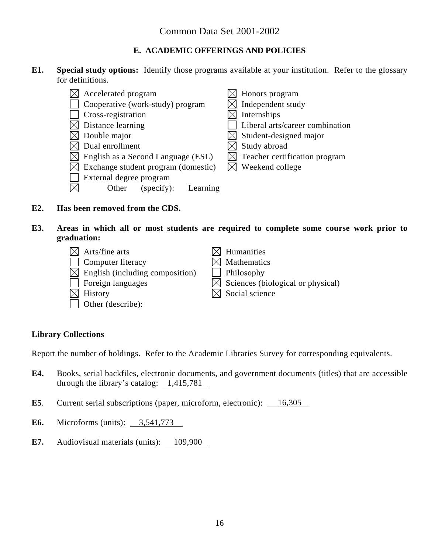## **E. ACADEMIC OFFERINGS AND POLICIES**

**E1. Special study options:** Identify those programs available at your institution. Refer to the glossary for definitions.

|             | Accelerated program                 | $\sqrt{ }$ Honors program              |
|-------------|-------------------------------------|----------------------------------------|
|             | Cooperative (work-study) program    | Independent study                      |
|             | Cross-registration                  | Internships                            |
|             | Distance learning                   | Liberal arts/career combination        |
|             | Double major                        | $\triangleleft$ Student-designed major |
|             | Dual enrollment                     | Study abroad                           |
| $\boxtimes$ | English as a Second Language (ESL)  | $\times$ Teacher certification program |
| ⊠           | Exchange student program (domestic) | $\times$ Weekend college               |
|             | External degree program             |                                        |
|             | Other<br>(specify):<br>Learning     |                                        |

#### **E2. Has been removed from the CDS.**

**E3. Areas in which all or most students are required to complete some course work prior to graduation:** 

| $\boxtimes$ Arts/fine arts                  | $\boxtimes$ Humanities                        |
|---------------------------------------------|-----------------------------------------------|
| Computer literacy                           | $\boxtimes$ Mathematics                       |
| $\boxtimes$ English (including composition) | $\Box$ Philosophy                             |
| $\vert \ \vert$ Foreign languages           | $\boxtimes$ Sciences (biological or physical) |
| $\boxtimes$ History                         | $\boxtimes$ Social science                    |
| Other (describe):                           |                                               |

### **Library Collections**

Report the number of holdings. Refer to the Academic Libraries Survey for corresponding equivalents.

- **E4.** Books, serial backfiles, electronic documents, and government documents (titles) that are accessible through the library's catalog:  $\frac{1,415,781}{2}$
- **E5**. Current serial subscriptions (paper, microform, electronic): 16,305
- **E6.** Microforms (units): 3,541,773
- **E7.** Audiovisual materials (units): 109,900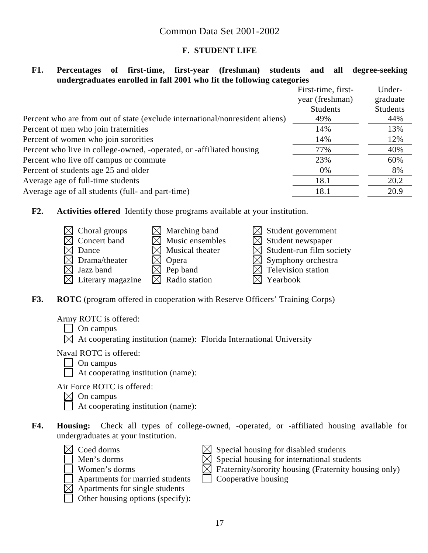### **F. STUDENT LIFE**

## **F1. Percentages of first-time, first-year (freshman) students and all degree-seeking undergraduates enrolled in fall 2001 who fit the following categories**

|                                                                              | First-time, first- | Under-          |
|------------------------------------------------------------------------------|--------------------|-----------------|
|                                                                              | year (freshman)    | graduate        |
|                                                                              | <b>Students</b>    | <b>Students</b> |
| Percent who are from out of state (exclude international/nonresident aliens) | 49%                | 44%             |
| Percent of men who join fraternities                                         | 14%                | 13%             |
| Percent of women who join sororities                                         | 14%                | 12%             |
| Percent who live in college-owned, -operated, or -affiliated housing         | 77%                | 40%             |
| Percent who live off campus or commute                                       | 23%                | 60%             |
| Percent of students age 25 and older                                         | 0%                 | 8%              |
| Average age of full-time students                                            | 18.1               | 20.2            |
| Average age of all students (full- and part-time)                            | 18.1               | 20.9            |

**F2. Activities offered** Identify those programs available at your institution.



**F3.** ROTC (program offered in cooperation with Reserve Officers' Training Corps)

Army ROTC is offered:

 $\Box$  On campus

 $\boxtimes$  At cooperating institution (name): Florida International University

Naval ROTC is offered:

- $\Box$  On campus
- $\Box$  At cooperating institution (name):

Air Force ROTC is offered:

 $\boxtimes$  On campus

At cooperating institution (name):

- **F4. Housing:** Check all types of college-owned, -operated, or -affiliated housing available for undergraduates at your institution.
	-
	-



- Apartments for married students  $\Box$  Cooperative housing
- Apartments for single students
- Other housing options (specify):
- $\boxtimes$  Coed dorms  $\boxtimes$  Special housing for disabled students
	- Men's dorms  $\overline{\boxtimes}$  Special housing for international students
	- Women's dorms  $\boxtimes$  Fraternity/sorority housing (Fraternity housing only)
		-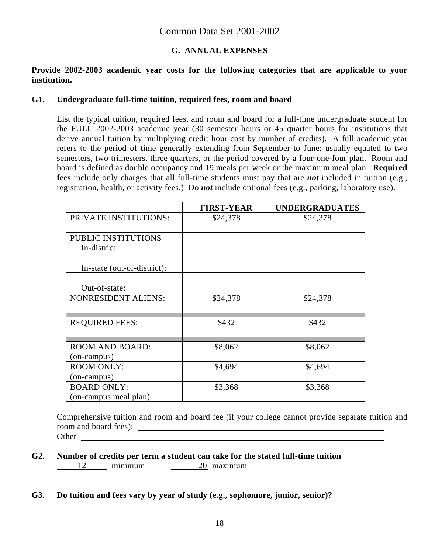## **G. ANNUAL EXPENSES**

## **Provide 2002-2003 academic year costs for the following categories that are applicable to your institution.**

#### **G1. Undergraduate full-time tuition, required fees, room and board**

List the typical tuition, required fees, and room and board for a full-time undergraduate student for the FULL 2002-2003 academic year (30 semester hours or 45 quarter hours for institutions that derive annual tuition by multiplying credit hour cost by number of credits). A full academic year refers to the period of time generally extending from September to June; usually equated to two semesters, two trimesters, three quarters, or the period covered by a four-one-four plan. Room and board is defined as double occupancy and 19 meals per week or the maximum meal plan. **Required fees** include only charges that all full-time students must pay that are *not* included in tuition (e.g., registration, health, or activity fees.) Do *not* include optional fees (e.g., parking, laboratory use).

|                                             | <b>FIRST-YEAR</b> | <b>UNDERGRADUATES</b> |
|---------------------------------------------|-------------------|-----------------------|
| PRIVATE INSTITUTIONS:                       | \$24,378          | \$24,378              |
| PUBLIC INSTITUTIONS<br>In-district:         |                   |                       |
| In-state (out-of-district):                 |                   |                       |
| Out-of-state:                               |                   |                       |
| <b>NONRESIDENT ALIENS:</b>                  | \$24,378          | \$24,378              |
| <b>REQUIRED FEES:</b>                       | \$432             | \$432                 |
| <b>ROOM AND BOARD:</b><br>(on-campus)       | \$8,062           | \$8,062               |
| <b>ROOM ONLY:</b><br>(on-campus)            | \$4,694           | \$4,694               |
| <b>BOARD ONLY:</b><br>(on-campus meal plan) | \$3,368           | \$3,368               |

Comprehensive tuition and room and board fee (if your college cannot provide separate tuition and room and board fees): <u>shipped and states</u> and states and states and states and states are stated as  $\frac{1}{2}$ **Other** and **Other** 

**G2. Number of credits per term a student can take for the stated full-time tuition**  12 minimum 20 maximum

### **G3. Do tuition and fees vary by year of study (e.g., sophomore, junior, senior)?**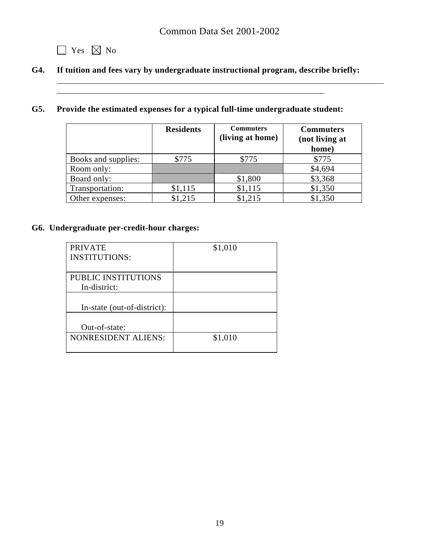

 $\overline{a}$ 

# **G4. If tuition and fees vary by undergraduate instructional program, describe briefly:**

# **G5. Provide the estimated expenses for a typical full-time undergraduate student:**

|                     | <b>Residents</b> | <b>Commuters</b><br>(living at home) | <b>Commuters</b><br>(not living at |
|---------------------|------------------|--------------------------------------|------------------------------------|
|                     |                  |                                      | home)                              |
| Books and supplies: | \$775            | \$775                                | \$775                              |
| Room only:          |                  |                                      | \$4,694                            |
| Board only:         |                  | \$1,800                              | \$3,368                            |
| Transportation:     | \$1,115          | \$1,115                              | \$1,350                            |
| Other expenses:     | \$1,215          | \$1,215                              | \$1,350                            |

## **G6. Undergraduate per-credit-hour charges:**

| <b>PRIVATE</b>              | \$1,010 |
|-----------------------------|---------|
| <b>INSTITUTIONS:</b>        |         |
|                             |         |
| PUBLIC INSTITUTIONS         |         |
| In-district:                |         |
|                             |         |
| In-state (out-of-district): |         |
|                             |         |
| Out-of-state:               |         |
| NONRESIDENT ALIENS:         | \$1,010 |
|                             |         |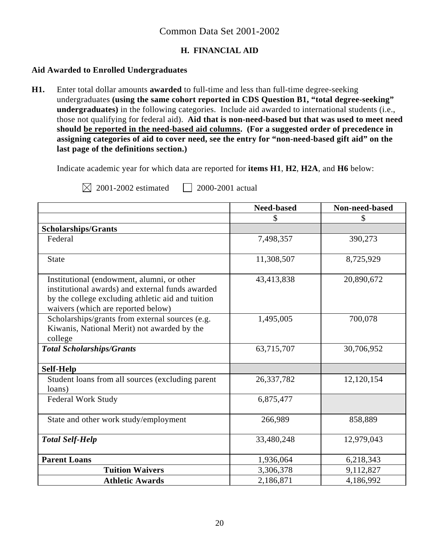## **H. FINANCIAL AID**

### **Aid Awarded to Enrolled Undergraduates**

**H1.** Enter total dollar amounts **awarded** to full-time and less than full-time degree-seeking undergraduates **(using the same cohort reported in CDS Question B1, "total degree-seeking" undergraduates)** in the following categories. Include aid awarded to international students (i.e., those not qualifying for federal aid). **Aid that is non-need-based but that was used to meet need should be reported in the need-based aid columns. (For a suggested order of precedence in assigning categories of aid to cover need, see the entry for "non-need-based gift aid" on the last page of the definitions section.)** 

Indicate academic year for which data are reported for **items H1**, **H2**, **H2A**, and **H6** below:

|                                                                                                                                                                                           | <b>Need-based</b> | Non-need-based |
|-------------------------------------------------------------------------------------------------------------------------------------------------------------------------------------------|-------------------|----------------|
|                                                                                                                                                                                           | \$                | \$             |
| <b>Scholarships/Grants</b>                                                                                                                                                                |                   |                |
| Federal                                                                                                                                                                                   | 7,498,357         | 390,273        |
| <b>State</b>                                                                                                                                                                              | 11,308,507        | 8,725,929      |
| Institutional (endowment, alumni, or other<br>institutional awards) and external funds awarded<br>by the college excluding athletic aid and tuition<br>waivers (which are reported below) | 43,413,838        | 20,890,672     |
| Scholarships/grants from external sources (e.g.<br>Kiwanis, National Merit) not awarded by the<br>college                                                                                 | 1,495,005         | 700,078        |
| <b>Total Scholarships/Grants</b>                                                                                                                                                          | 63,715,707        | 30,706,952     |
| <b>Self-Help</b>                                                                                                                                                                          |                   |                |
| Student loans from all sources (excluding parent<br>loans)                                                                                                                                | 26,337,782        | 12,120,154     |
| <b>Federal Work Study</b>                                                                                                                                                                 | 6,875,477         |                |
| State and other work study/employment                                                                                                                                                     | 266,989           | 858,889        |
| <b>Total Self-Help</b>                                                                                                                                                                    | 33,480,248        | 12,979,043     |
| <b>Parent Loans</b>                                                                                                                                                                       | 1,936,064         | 6,218,343      |
| <b>Tuition Waivers</b>                                                                                                                                                                    | 3,306,378         | 9,112,827      |
| <b>Athletic Awards</b>                                                                                                                                                                    | 2,186,871         | 4,186,992      |

 $\boxtimes$  2001-2002 estimated 2000-2001 actual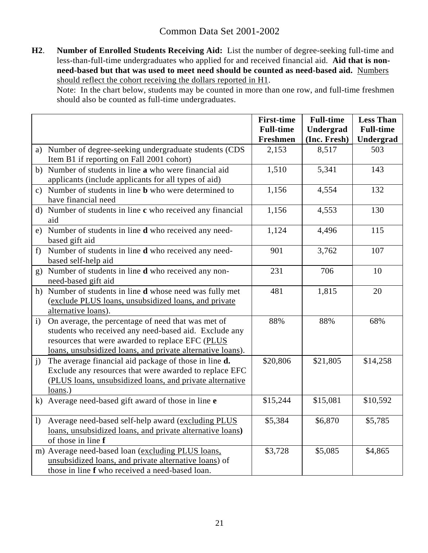**H2**. **Number of Enrolled Students Receiving Aid:** List the number of degree-seeking full-time and less-than-full-time undergraduates who applied for and received financial aid. **Aid that is nonneed-based but that was used to meet need should be counted as need-based aid.** Numbers should reflect the cohort receiving the dollars reported in H1.

Note: In the chart below, students may be counted in more than one row, and full-time freshmen should also be counted as full-time undergraduates.

|                  |                                                                                     | <b>First-time</b><br><b>Full-time</b> | <b>Full-time</b><br>Undergrad | <b>Less Than</b><br><b>Full-time</b> |
|------------------|-------------------------------------------------------------------------------------|---------------------------------------|-------------------------------|--------------------------------------|
|                  |                                                                                     | <b>Freshmen</b>                       | (Inc. Fresh)                  | <b>Undergrad</b>                     |
|                  | a) Number of degree-seeking undergraduate students (CDS                             | 2,153                                 | 8,517                         | 503                                  |
|                  | Item B1 if reporting on Fall 2001 cohort)                                           |                                       |                               |                                      |
|                  | b) Number of students in line a who were financial aid                              | 1,510                                 | 5,341                         | 143                                  |
|                  | applicants (include applicants for all types of aid)                                |                                       |                               |                                      |
|                  | c) Number of students in line <b>b</b> who were determined to                       | 1,156                                 | 4,554                         | 132                                  |
|                  | have financial need                                                                 |                                       |                               |                                      |
|                  | d) Number of students in line c who received any financial<br>aid                   | 1,156                                 | 4,553                         | 130                                  |
|                  | e) Number of students in line <b>d</b> who received any need-                       | 1,124                                 | 4,496                         | 115                                  |
|                  | based gift aid                                                                      |                                       |                               |                                      |
| f                | Number of students in line <b>d</b> who received any need-                          | 901                                   | 3,762                         | 107                                  |
|                  | based self-help aid                                                                 | 231                                   | 706                           | 10                                   |
|                  | g) Number of students in line <b>d</b> who received any non-<br>need-based gift aid |                                       |                               |                                      |
|                  | h) Number of students in line <b>d</b> whose need was fully met                     | 481                                   | 1,815                         | 20                                   |
|                  | (exclude PLUS loans, unsubsidized loans, and private                                |                                       |                               |                                      |
|                  | alternative loans).                                                                 |                                       |                               |                                      |
| $\mathbf{i}$     | On average, the percentage of need that was met of                                  | 88%                                   | 88%                           | 68%                                  |
|                  | students who received any need-based aid. Exclude any                               |                                       |                               |                                      |
|                  | resources that were awarded to replace EFC (PLUS                                    |                                       |                               |                                      |
|                  | loans, unsubsidized loans, and private alternative loans).                          |                                       |                               |                                      |
| j)               | The average financial aid package of those in line d.                               | \$20,806                              | \$21,805                      | \$14,258                             |
|                  | Exclude any resources that were awarded to replace EFC                              |                                       |                               |                                      |
|                  | (PLUS loans, unsubsidized loans, and private alternative                            |                                       |                               |                                      |
|                  | $loans.$ )                                                                          |                                       |                               |                                      |
|                  | k) Average need-based gift award of those in line e                                 | \$15,244                              | \$15,081                      | \$10,592                             |
| $\left( \right)$ | Average need-based self-help award (excluding PLUS                                  | \$5,384                               | \$6,870                       | \$5,785                              |
|                  | loans, unsubsidized loans, and private alternative loans)                           |                                       |                               |                                      |
|                  | of those in line f                                                                  |                                       |                               |                                      |
|                  | m) Average need-based loan (excluding PLUS loans,                                   | \$3,728                               | \$5,085                       | \$4,865                              |
|                  | unsubsidized loans, and private alternative loans) of                               |                                       |                               |                                      |
|                  | those in line f who received a need-based loan.                                     |                                       |                               |                                      |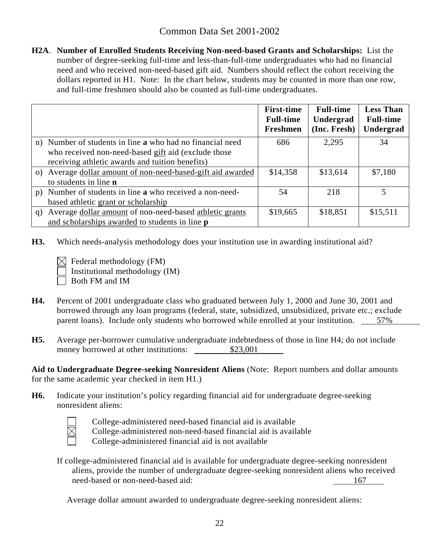**H2A**. **Number of Enrolled Students Receiving Non-need-based Grants and Scholarships:** List the number of degree-seeking full-time and less-than-full-time undergraduates who had no financial need and who received non-need-based gift aid. Numbers should reflect the cohort receiving the dollars reported in H1. Note: In the chart below, students may be counted in more than one row, and full-time freshmen should also be counted as full-time undergraduates.

|                              |                                                              | <b>First-time</b><br><b>Full-time</b><br>Freshmen | <b>Full-time</b><br>Undergrad<br>(Inc. Fresh) | <b>Less Than</b><br><b>Full-time</b><br>Undergrad |
|------------------------------|--------------------------------------------------------------|---------------------------------------------------|-----------------------------------------------|---------------------------------------------------|
|                              | n) Number of students in line a who had no financial need    | 686                                               | 2,295                                         | 34                                                |
|                              | who received non-need-based gift aid (exclude those          |                                                   |                                               |                                                   |
|                              | receiving athletic awards and tuition benefits)              |                                                   |                                               |                                                   |
|                              | o) Average dollar amount of non-need-based-gift aid awarded  | \$14,358                                          | \$13,614                                      | \$7,180                                           |
| to students in line <b>n</b> |                                                              |                                                   |                                               |                                                   |
| p)                           | Number of students in line <b>a</b> who received a non-need- | 54                                                | 218                                           | 5.                                                |
|                              | based athletic grant or scholarship                          |                                                   |                                               |                                                   |
| q)                           | Average dollar amount of non-need-based athletic grants      | \$19,665                                          | \$18,851                                      | \$15,511                                          |
|                              | and scholarships awarded to students in line <b>p</b>        |                                                   |                                               |                                                   |

- **H3.** Which needs-analysis methodology does your institution use in awarding institutional aid?
	- $\bowtie$  Federal methodology (FM) Institutional methodology (IM) Both FM and IM
- **H4.** Percent of 2001 undergraduate class who graduated between July 1, 2000 and June 30, 2001 and borrowed through any loan programs (federal, state, subsidized, unsubsidized, private etc.; exclude parent loans). Include only students who borrowed while enrolled at your institution. 57%
- **H5.** Average per-borrower cumulative undergraduate indebtedness of those in line H4; do not include money borrowed at other institutions: \$23,001

**Aid to Undergraduate Degree-seeking Nonresident Aliens** (Note: Report numbers and dollar amounts for the same academic year checked in item H1.)

**H6.** Indicate your institution's policy regarding financial aid for undergraduate degree-seeking nonresident aliens:



College-administered need-based financial aid is available

College-administered non-need-based financial aid is available

College-administered financial aid is not available

If college-administered financial aid is available for undergraduate degree-seeking nonresident aliens, provide the number of undergraduate degree-seeking nonresident aliens who received need-based or non-need-based aid: 167

Average dollar amount awarded to undergraduate degree-seeking nonresident aliens: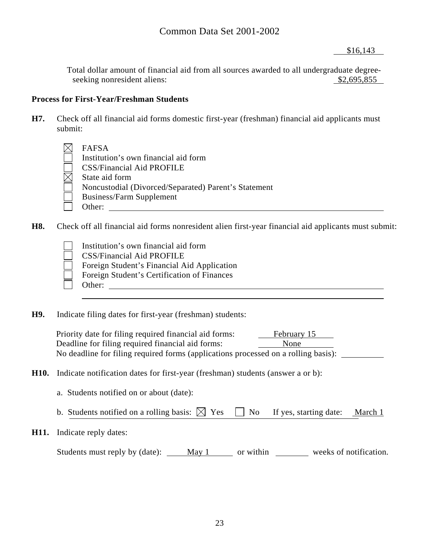\$16,143

Total dollar amount of financial aid from all sources awarded to all undergraduate degreeseeking nonresident aliens:  $$2,695,855$ 

## **Process for First-Year/Freshman Students**

**H7.** Check off all financial aid forms domestic first-year (freshman) financial aid applicants must submit:

| FAFSA                                                |
|------------------------------------------------------|
| Institution's own financial aid form                 |
| <b>CSS/Financial Aid PROFILE</b>                     |
| State aid form                                       |
| Noncustodial (Divorced/Separated) Parent's Statement |
| <b>Business/Farm Supplement</b>                      |
| Other:                                               |

**H8.** Check off all financial aid forms nonresident alien first-year financial aid applicants must submit:

- Institution's own financial aid form CSS/Financial Aid PROFILE Foreign Student's Financial Aid Application Foreign Student's Certification of Finances Other: when the contract of the contract of the contract of the contract of the contract of the contract of the contract of the contract of the contract of the contract of the contract of the contract of the contract of th
- **H9.** Indicate filing dates for first-year (freshman) students:

Priority date for filing required financial aid forms: February 15 Deadline for filing required financial aid forms: None No deadline for filing required forms (applications processed on a rolling basis):

- **H10.** Indicate notification dates for first-year (freshman) students (answer a or b):
	- a. Students notified on or about (date):
	- b. Students notified on a rolling basis:  $\boxtimes$  Yes  $\Box$  No If yes, starting date: March 1
- **H11.** Indicate reply dates:

Students must reply by (date): May 1 or within weeks of notification.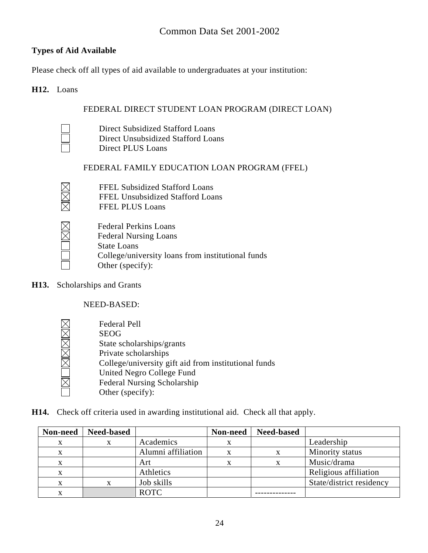# **Types of Aid Available**

Please check off all types of aid available to undergraduates at your institution:

## **H12.** Loans

## FEDERAL DIRECT STUDENT LOAN PROGRAM (DIRECT LOAN)

 Direct Subsidized Stafford Loans Direct Unsubsidized Stafford Loans Direct PLUS Loans

## FEDERAL FAMILY EDUCATION LOAN PROGRAM (FFEL)

- FFEL Subsidized Stafford Loans
- FFEL Unsubsidized Stafford Loans
- FFEL PLUS Loans



XXX

Federal Perkins Loans Federal Nursing Loans State Loans College/university loans from institutional funds Other (specify):

**H13.** Scholarships and Grants

NEED-BASED:

<u>iMOMMMM</u>

 Federal Pell SEOG State scholarships/grants Private scholarships College/university gift aid from institutional funds United Negro College Fund Federal Nursing Scholarship Other (specify):

**H14.** Check off criteria used in awarding institutional aid. Check all that apply.

| Non-need | <b>Need-based</b> |                    | Non-need | <b>Need-based</b> |                          |
|----------|-------------------|--------------------|----------|-------------------|--------------------------|
| X        | X                 | Academics          |          |                   | Leadership               |
| X        |                   | Alumni affiliation |          |                   | Minority status          |
| x        |                   | Art                |          |                   | Music/drama              |
| X        |                   | Athletics          |          |                   | Religious affiliation    |
| X        |                   | Job skills         |          |                   | State/district residency |
|          |                   | <b>ROTC</b>        |          |                   |                          |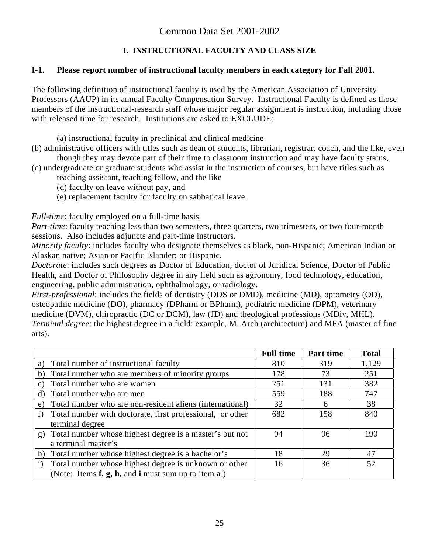# **I. INSTRUCTIONAL FACULTY AND CLASS SIZE**

## **I-1. Please report number of instructional faculty members in each category for Fall 2001.**

The following definition of instructional faculty is used by the American Association of University Professors (AAUP) in its annual Faculty Compensation Survey. Instructional Faculty is defined as those members of the instructional-research staff whose major regular assignment is instruction, including those with released time for research. Institutions are asked to EXCLUDE:

(a) instructional faculty in preclinical and clinical medicine

- (b) administrative officers with titles such as dean of students, librarian, registrar, coach, and the like, even though they may devote part of their time to classroom instruction and may have faculty status,
- (c) undergraduate or graduate students who assist in the instruction of courses, but have titles such as teaching assistant, teaching fellow, and the like
	- (d) faculty on leave without pay, and
	- (e) replacement faculty for faculty on sabbatical leave.

*Full-time:* faculty employed on a full-time basis

*Part-time*: faculty teaching less than two semesters, three quarters, two trimesters, or two four-month sessions. Also includes adjuncts and part-time instructors.

*Minority faculty*: includes faculty who designate themselves as black, non-Hispanic; American Indian or Alaskan native; Asian or Pacific Islander; or Hispanic.

*Doctorate*: includes such degrees as Doctor of Education, doctor of Juridical Science, Doctor of Public Health, and Doctor of Philosophy degree in any field such as agronomy, food technology, education, engineering, public administration, ophthalmology, or radiology.

*First-professional*: includes the fields of dentistry (DDS or DMD), medicine (MD), optometry (OD), osteopathic medicine (DO), pharmacy (DPharm or BPharm), podiatric medicine (DPM), veterinary medicine (DVM), chiropractic (DC or DCM), law (JD) and theological professions (MDiv, MHL). *Terminal degree*: the highest degree in a field: example, M. Arch (architecture) and MFA (master of fine arts).

|                                                                       | <b>Full time</b> | Part time | <b>Total</b> |
|-----------------------------------------------------------------------|------------------|-----------|--------------|
| Total number of instructional faculty<br>a)                           | 810              | 319       | 1,129        |
| Total number who are members of minority groups<br>b)                 | 178              | 73        | 251          |
| Total number who are women<br>C)                                      | 251              | 131       | 382          |
| Total number who are men<br>d)                                        | 559              | 188       | 747          |
| Total number who are non-resident aliens (international)<br>e)        | 32               | 6         | 38           |
| Total number with doctorate, first professional, or other<br>f)       | 682              | 158       | 840          |
| terminal degree                                                       |                  |           |              |
| Total number whose highest degree is a master's but not<br>g)         | 94               | 96        | 190          |
| a terminal master's                                                   |                  |           |              |
| Total number whose highest degree is a bachelor's<br>h)               | 18               | 29        | 47           |
| Total number whose highest degree is unknown or other<br>$\mathbf{i}$ | 16               | 36        | 52           |
| (Note: Items $f$ , $g$ , $h$ , and $i$ must sum up to item $a$ .)     |                  |           |              |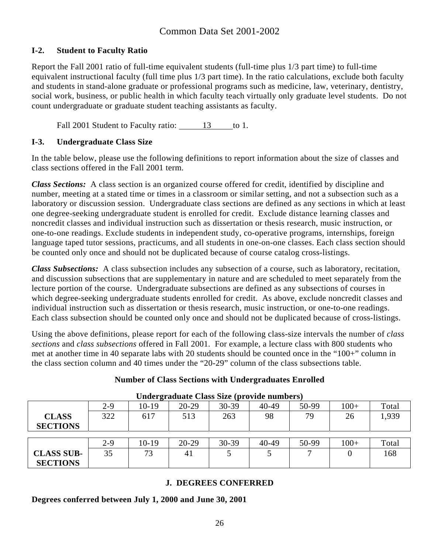## **I-2. Student to Faculty Ratio**

Report the Fall 2001 ratio of full-time equivalent students (full-time plus 1/3 part time) to full-time equivalent instructional faculty (full time plus 1/3 part time). In the ratio calculations, exclude both faculty and students in stand-alone graduate or professional programs such as medicine, law, veterinary, dentistry, social work, business, or public health in which faculty teach virtually only graduate level students. Do not count undergraduate or graduate student teaching assistants as faculty.

Fall 2001 Student to Faculty ratio: 13 to 1.

## **I-3. Undergraduate Class Size**

In the table below, please use the following definitions to report information about the size of classes and class sections offered in the Fall 2001 term.

*Class Sections:* A class section is an organized course offered for credit, identified by discipline and number, meeting at a stated time or times in a classroom or similar setting, and not a subsection such as a laboratory or discussion session. Undergraduate class sections are defined as any sections in which at least one degree-seeking undergraduate student is enrolled for credit. Exclude distance learning classes and noncredit classes and individual instruction such as dissertation or thesis research, music instruction, or one-to-one readings. Exclude students in independent study, co-operative programs, internships, foreign language taped tutor sessions, practicums, and all students in one-on-one classes. Each class section should be counted only once and should not be duplicated because of course catalog cross-listings.

*Class Subsections:* A class subsection includes any subsection of a course, such as laboratory, recitation, and discussion subsections that are supplementary in nature and are scheduled to meet separately from the lecture portion of the course. Undergraduate subsections are defined as any subsections of courses in which degree-seeking undergraduate students enrolled for credit. As above, exclude noncredit classes and individual instruction such as dissertation or thesis research, music instruction, or one-to-one readings. Each class subsection should be counted only once and should not be duplicated because of cross-listings.

Using the above definitions, please report for each of the following class-size intervals the number of *class sections* and *class subsections* offered in Fall 2001. For example, a lecture class with 800 students who met at another time in 40 separate labs with 20 students should be counted once in the "100+" column in the class section column and 40 times under the "20-29" column of the class subsections table.

## **Number of Class Sections with Undergraduates Enrolled**

| Chuci Cruguate Chubb Dime (provide Humberb) |       |         |           |           |           |       |        |       |
|---------------------------------------------|-------|---------|-----------|-----------|-----------|-------|--------|-------|
|                                             | $2-9$ | 10-19   | $20 - 29$ | $30 - 39$ | $40 - 49$ | 50-99 | $100+$ | Total |
| <b>CLASS</b>                                | 322   | 617     | 513       | 263       | 98        | 79    | 26     | 1,939 |
| <b>SECTIONS</b>                             |       |         |           |           |           |       |        |       |
|                                             |       |         |           |           |           |       |        |       |
|                                             | $2-9$ | $10-19$ | $20 - 29$ | $30 - 39$ | $40 - 49$ | 50-99 | $100+$ | Total |
| <b>CLASS SUB-</b>                           | 35    | 73      | 41        |           |           |       |        | 168   |
| <b>SECTIONS</b>                             |       |         |           |           |           |       |        |       |

### **Undergraduate Class Size (provide numbers)**

## **J. DEGREES CONFERRED**

**Degrees conferred between July 1, 2000 and June 30, 2001**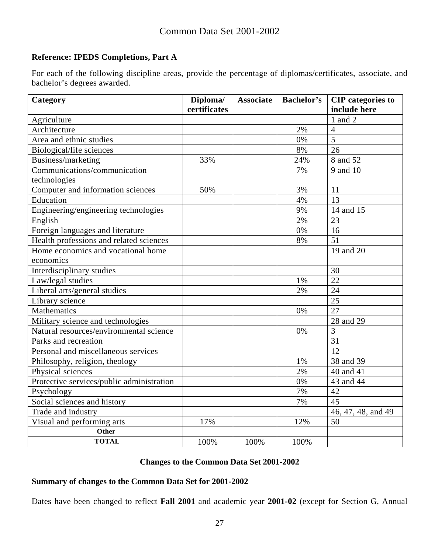## **Reference: IPEDS Completions, Part A**

For each of the following discipline areas, provide the percentage of diplomas/certificates, associate, and bachelor's degrees awarded.

| Category                                           | Diploma/<br>certificates | <b>Associate</b> | <b>Bachelor's</b> | <b>CIP</b> categories to<br>include here |
|----------------------------------------------------|--------------------------|------------------|-------------------|------------------------------------------|
| Agriculture                                        |                          |                  |                   | 1 and 2                                  |
| Architecture                                       |                          |                  | 2%                | $\overline{4}$                           |
| Area and ethnic studies                            |                          |                  | 0%                | $\overline{5}$                           |
| Biological/life sciences                           |                          |                  | 8%                | 26                                       |
|                                                    |                          |                  |                   | 8 and 52                                 |
| Business/marketing<br>Communications/communication | 33%                      |                  | 24%<br>7%         | 9 and 10                                 |
|                                                    |                          |                  |                   |                                          |
| technologies                                       |                          |                  |                   |                                          |
| Computer and information sciences                  | 50%                      |                  | 3%                | 11                                       |
| Education                                          |                          |                  | 4%                | 13                                       |
| Engineering/engineering technologies               |                          |                  | 9%                | 14 and 15                                |
| English                                            |                          |                  | 2%                | 23                                       |
| Foreign languages and literature                   |                          |                  | 0%                | 16                                       |
| Health professions and related sciences            |                          |                  | 8%                | 51                                       |
| Home economics and vocational home                 |                          |                  |                   | 19 and 20                                |
| economics                                          |                          |                  |                   |                                          |
| Interdisciplinary studies                          |                          |                  |                   | 30                                       |
| Law/legal studies                                  |                          |                  | 1%                | 22                                       |
| Liberal arts/general studies                       |                          |                  | 2%                | 24                                       |
| Library science                                    |                          |                  |                   | 25                                       |
| <b>Mathematics</b>                                 |                          |                  | 0%                | $\overline{27}$                          |
| Military science and technologies                  |                          |                  |                   | 28 and 29                                |
| Natural resources/environmental science            |                          |                  | 0%                | $\overline{3}$                           |
| Parks and recreation                               |                          |                  |                   | 31                                       |
| Personal and miscellaneous services                |                          |                  |                   | 12                                       |
| Philosophy, religion, theology                     |                          |                  | 1%                | 38 and 39                                |
| Physical sciences                                  |                          |                  | 2%                | 40 and 41                                |
| Protective services/public administration          |                          |                  | 0%                | 43 and 44                                |
| Psychology                                         |                          |                  | 7%                | 42                                       |
| Social sciences and history                        |                          |                  | 7%                | 45                                       |
| Trade and industry                                 |                          |                  |                   | 46, 47, 48, and 49                       |
| Visual and performing arts                         | 17%                      |                  | 12%               | 50                                       |
| Other                                              |                          |                  |                   |                                          |
| <b>TOTAL</b>                                       | 100%                     | 100%             | 100%              |                                          |

## **Changes to the Common Data Set 2001-2002**

## **Summary of changes to the Common Data Set for 2001-2002**

Dates have been changed to reflect **Fall 2001** and academic year **2001-02** (except for Section G, Annual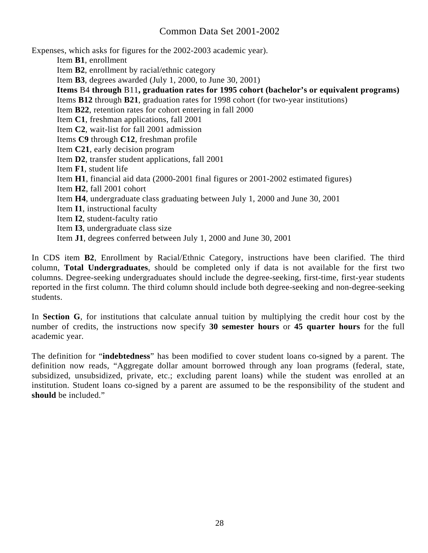Expenses, which asks for figures for the 2002-2003 academic year).

Item **B1**, enrollment

Item **B2**, enrollment by racial/ethnic category

Item **B3**, degrees awarded (July 1, 2000, to June 30, 2001)

**Items** B4 **through** B11**, graduation rates for 1995 cohort (bachelor's or equivalent programs)** 

Items **B12** through **B21**, graduation rates for 1998 cohort (for two-year institutions)

Item **B22**, retention rates for cohort entering in fall 2000

Item **C1**, freshman applications, fall 2001

Item **C2**, wait-list for fall 2001 admission

Items **C9** through **C12**, freshman profile

- Item **C21**, early decision program
- Item **D2**, transfer student applications, fall 2001
- Item **F1**, student life
- Item **H1**, financial aid data (2000-2001 final figures or 2001-2002 estimated figures)
- Item **H2**, fall 2001 cohort
- Item **H4**, undergraduate class graduating between July 1, 2000 and June 30, 2001
- Item **I1**, instructional faculty
- Item **I2**, student-faculty ratio
- Item **I3**, undergraduate class size
- Item **J1**, degrees conferred between July 1, 2000 and June 30, 2001

In CDS item **B2**, Enrollment by Racial/Ethnic Category, instructions have been clarified. The third column, **Total Undergraduates**, should be completed only if data is not available for the first two columns. Degree-seeking undergraduates should include the degree-seeking, first-time, first-year students reported in the first column. The third column should include both degree-seeking and non-degree-seeking students.

In **Section G**, for institutions that calculate annual tuition by multiplying the credit hour cost by the number of credits, the instructions now specify **30 semester hours** or **45 quarter hours** for the full academic year.

The definition for "**indebtedness**" has been modified to cover student loans co-signed by a parent. The definition now reads, "Aggregate dollar amount borrowed through any loan programs (federal, state, subsidized, unsubsidized, private, etc.; excluding parent loans) while the student was enrolled at an institution. Student loans co-signed by a parent are assumed to be the responsibility of the student and **should** be included."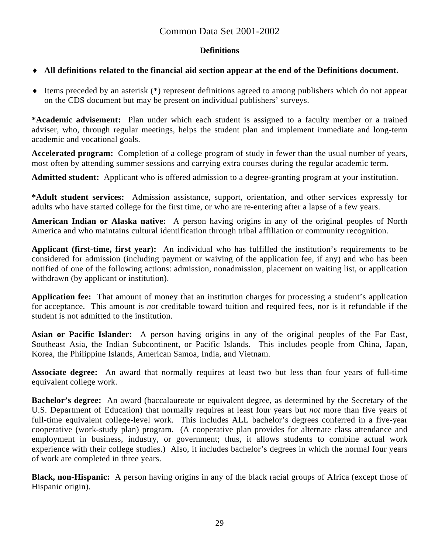### **Definitions**

## ♦ **All definitions related to the financial aid section appear at the end of the Definitions document.**

♦ Items preceded by an asterisk (\*) represent definitions agreed to among publishers which do not appear on the CDS document but may be present on individual publishers' surveys.

**\*Academic advisement:** Plan under which each student is assigned to a faculty member or a trained adviser, who, through regular meetings, helps the student plan and implement immediate and long-term academic and vocational goals.

**Accelerated program:** Completion of a college program of study in fewer than the usual number of years, most often by attending summer sessions and carrying extra courses during the regular academic term**.** 

**Admitted student:** Applicant who is offered admission to a degree-granting program at your institution.

**\*Adult student services:** Admission assistance, support, orientation, and other services expressly for adults who have started college for the first time, or who are re-entering after a lapse of a few years.

**American Indian or Alaska native:** A person having origins in any of the original peoples of North America and who maintains cultural identification through tribal affiliation or community recognition.

**Applicant (first-time, first year):** An individual who has fulfilled the institution's requirements to be considered for admission (including payment or waiving of the application fee, if any) and who has been notified of one of the following actions: admission, nonadmission, placement on waiting list, or application withdrawn (by applicant or institution).

**Application fee:** That amount of money that an institution charges for processing a student's application for acceptance. This amount is *not* creditable toward tuition and required fees, nor is it refundable if the student is not admitted to the institution.

**Asian or Pacific Islander:** A person having origins in any of the original peoples of the Far East, Southeast Asia, the Indian Subcontinent, or Pacific Islands. This includes people from China, Japan, Korea, the Philippine Islands, American Samoa, India, and Vietnam.

**Associate degree:** An award that normally requires at least two but less than four years of full-time equivalent college work.

**Bachelor's degree:** An award (baccalaureate or equivalent degree, as determined by the Secretary of the U.S. Department of Education) that normally requires at least four years but *not* more than five years of full-time equivalent college-level work. This includes ALL bachelor's degrees conferred in a five-year cooperative (work-study plan) program. (A cooperative plan provides for alternate class attendance and employment in business, industry, or government; thus, it allows students to combine actual work experience with their college studies.) Also, it includes bachelor's degrees in which the normal four years of work are completed in three years.

**Black, non-Hispanic:** A person having origins in any of the black racial groups of Africa (except those of Hispanic origin).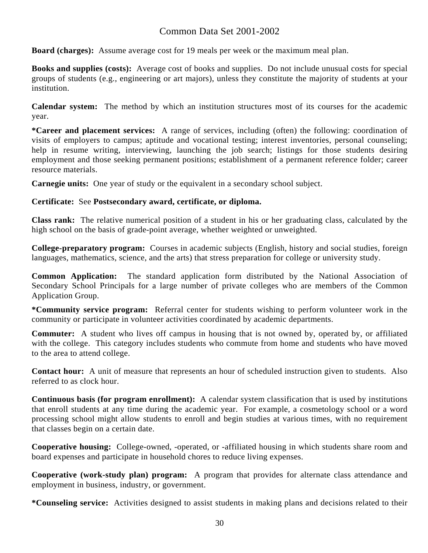**Board (charges):** Assume average cost for 19 meals per week or the maximum meal plan.

**Books and supplies (costs):** Average cost of books and supplies. Do not include unusual costs for special groups of students (e.g., engineering or art majors), unless they constitute the majority of students at your institution.

**Calendar system:** The method by which an institution structures most of its courses for the academic year.

**\*Career and placement services:** A range of services, including (often) the following: coordination of visits of employers to campus; aptitude and vocational testing; interest inventories, personal counseling; help in resume writing, interviewing, launching the job search; listings for those students desiring employment and those seeking permanent positions; establishment of a permanent reference folder; career resource materials.

**Carnegie units:** One year of study or the equivalent in a secondary school subject.

#### **Certificate:** See **Postsecondary award, certificate, or diploma.**

**Class rank:** The relative numerical position of a student in his or her graduating class, calculated by the high school on the basis of grade-point average, whether weighted or unweighted.

**College-preparatory program:** Courses in academic subjects (English, history and social studies, foreign languages, mathematics, science, and the arts) that stress preparation for college or university study.

**Common Application:** The standard application form distributed by the National Association of Secondary School Principals for a large number of private colleges who are members of the Common Application Group.

**\*Community service program:** Referral center for students wishing to perform volunteer work in the community or participate in volunteer activities coordinated by academic departments.

**Commuter:** A student who lives off campus in housing that is not owned by, operated by, or affiliated with the college. This category includes students who commute from home and students who have moved to the area to attend college.

**Contact hour:** A unit of measure that represents an hour of scheduled instruction given to students. Also referred to as clock hour.

**Continuous basis (for program enrollment):** A calendar system classification that is used by institutions that enroll students at any time during the academic year. For example, a cosmetology school or a word processing school might allow students to enroll and begin studies at various times, with no requirement that classes begin on a certain date.

**Cooperative housing:** College-owned, -operated, or -affiliated housing in which students share room and board expenses and participate in household chores to reduce living expenses.

**Cooperative (work-study plan) program:** A program that provides for alternate class attendance and employment in business, industry, or government.

**\*Counseling service:** Activities designed to assist students in making plans and decisions related to their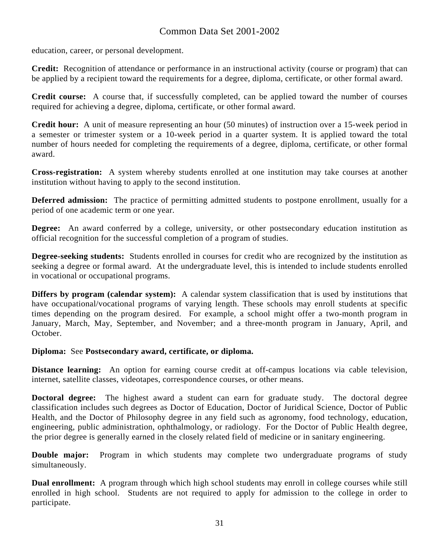education, career, or personal development.

**Credit:** Recognition of attendance or performance in an instructional activity (course or program) that can be applied by a recipient toward the requirements for a degree, diploma, certificate, or other formal award.

**Credit course:** A course that, if successfully completed, can be applied toward the number of courses required for achieving a degree, diploma, certificate, or other formal award.

**Credit hour:** A unit of measure representing an hour (50 minutes) of instruction over a 15-week period in a semester or trimester system or a 10-week period in a quarter system. It is applied toward the total number of hours needed for completing the requirements of a degree, diploma, certificate, or other formal award.

**Cross-registration:** A system whereby students enrolled at one institution may take courses at another institution without having to apply to the second institution.

**Deferred admission:** The practice of permitting admitted students to postpone enrollment, usually for a period of one academic term or one year.

**Degree:** An award conferred by a college, university, or other postsecondary education institution as official recognition for the successful completion of a program of studies.

**Degree-seeking students:** Students enrolled in courses for credit who are recognized by the institution as seeking a degree or formal award. At the undergraduate level, this is intended to include students enrolled in vocational or occupational programs.

**Differs by program (calendar system):** A calendar system classification that is used by institutions that have occupational/vocational programs of varying length. These schools may enroll students at specific times depending on the program desired. For example, a school might offer a two-month program in January, March, May, September, and November; and a three-month program in January, April, and October.

#### **Diploma:** See **Postsecondary award, certificate, or diploma.**

**Distance learning:** An option for earning course credit at off-campus locations via cable television, internet, satellite classes, videotapes, correspondence courses, or other means.

**Doctoral degree:** The highest award a student can earn for graduate study. The doctoral degree classification includes such degrees as Doctor of Education, Doctor of Juridical Science, Doctor of Public Health, and the Doctor of Philosophy degree in any field such as agronomy, food technology, education, engineering, public administration, ophthalmology, or radiology. For the Doctor of Public Health degree, the prior degree is generally earned in the closely related field of medicine or in sanitary engineering.

**Double major:** Program in which students may complete two undergraduate programs of study simultaneously.

**Dual enrollment:** A program through which high school students may enroll in college courses while still enrolled in high school. Students are not required to apply for admission to the college in order to participate.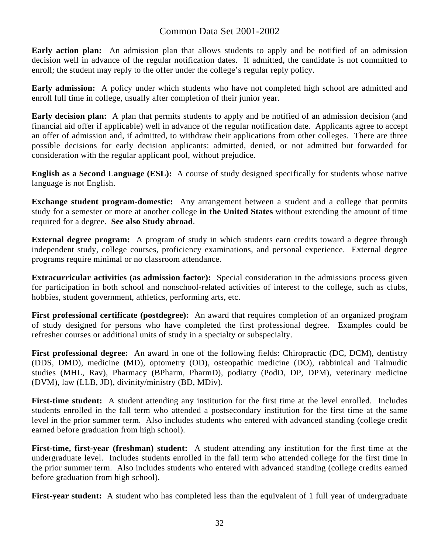**Early action plan:** An admission plan that allows students to apply and be notified of an admission decision well in advance of the regular notification dates. If admitted, the candidate is not committed to enroll; the student may reply to the offer under the college's regular reply policy.

**Early admission:** A policy under which students who have not completed high school are admitted and enroll full time in college, usually after completion of their junior year.

**Early decision plan:** A plan that permits students to apply and be notified of an admission decision (and financial aid offer if applicable) well in advance of the regular notification date. Applicants agree to accept an offer of admission and, if admitted, to withdraw their applications from other colleges. There are three possible decisions for early decision applicants: admitted, denied, or not admitted but forwarded for consideration with the regular applicant pool, without prejudice.

**English as a Second Language (ESL):** A course of study designed specifically for students whose native language is not English.

**Exchange student program-domestic:** Any arrangement between a student and a college that permits study for a semester or more at another college **in the United States** without extending the amount of time required for a degree. **See also Study abroad**.

**External degree program:** A program of study in which students earn credits toward a degree through independent study, college courses, proficiency examinations, and personal experience. External degree programs require minimal or no classroom attendance.

**Extracurricular activities (as admission factor):** Special consideration in the admissions process given for participation in both school and nonschool-related activities of interest to the college, such as clubs, hobbies, student government, athletics, performing arts, etc.

**First professional certificate (postdegree):** An award that requires completion of an organized program of study designed for persons who have completed the first professional degree. Examples could be refresher courses or additional units of study in a specialty or subspecialty.

**First professional degree:** An award in one of the following fields: Chiropractic (DC, DCM), dentistry (DDS, DMD), medicine (MD), optometry (OD), osteopathic medicine (DO), rabbinical and Talmudic studies (MHL, Rav), Pharmacy (BPharm, PharmD), podiatry (PodD, DP, DPM), veterinary medicine (DVM), law (LLB, JD), divinity/ministry (BD, MDiv).

**First-time student:** A student attending any institution for the first time at the level enrolled. Includes students enrolled in the fall term who attended a postsecondary institution for the first time at the same level in the prior summer term. Also includes students who entered with advanced standing (college credit earned before graduation from high school).

**First-time, first-year (freshman) student:** A student attending any institution for the first time at the undergraduate level. Includes students enrolled in the fall term who attended college for the first time in the prior summer term. Also includes students who entered with advanced standing (college credits earned before graduation from high school).

**First-year student:** A student who has completed less than the equivalent of 1 full year of undergraduate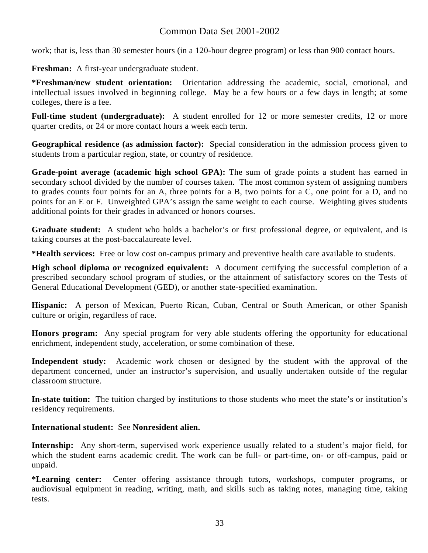work; that is, less than 30 semester hours (in a 120-hour degree program) or less than 900 contact hours.

**Freshman:** A first-year undergraduate student.

**\*Freshman/new student orientation:** Orientation addressing the academic, social, emotional, and intellectual issues involved in beginning college. May be a few hours or a few days in length; at some colleges, there is a fee.

**Full-time student (undergraduate):** A student enrolled for 12 or more semester credits, 12 or more quarter credits, or 24 or more contact hours a week each term.

**Geographical residence (as admission factor):** Special consideration in the admission process given to students from a particular region, state, or country of residence.

**Grade-point average (academic high school GPA):** The sum of grade points a student has earned in secondary school divided by the number of courses taken. The most common system of assigning numbers to grades counts four points for an A, three points for a B, two points for a C, one point for a D, and no points for an E or F. Unweighted GPA's assign the same weight to each course. Weighting gives students additional points for their grades in advanced or honors courses.

**Graduate student:** A student who holds a bachelor's or first professional degree, or equivalent, and is taking courses at the post-baccalaureate level.

**\*Health services:** Free or low cost on-campus primary and preventive health care available to students.

**High school diploma or recognized equivalent:** A document certifying the successful completion of a prescribed secondary school program of studies, or the attainment of satisfactory scores on the Tests of General Educational Development (GED), or another state-specified examination.

**Hispanic:** A person of Mexican, Puerto Rican, Cuban, Central or South American, or other Spanish culture or origin, regardless of race.

**Honors program:** Any special program for very able students offering the opportunity for educational enrichment, independent study, acceleration, or some combination of these.

**Independent study:** Academic work chosen or designed by the student with the approval of the department concerned, under an instructor's supervision, and usually undertaken outside of the regular classroom structure.

**In-state tuition:** The tuition charged by institutions to those students who meet the state's or institution's residency requirements.

### **International student:** See **Nonresident alien.**

**Internship:** Any short-term, supervised work experience usually related to a student's major field, for which the student earns academic credit. The work can be full- or part-time, on- or off-campus, paid or unpaid.

**\*Learning center:** Center offering assistance through tutors, workshops, computer programs, or audiovisual equipment in reading, writing, math, and skills such as taking notes, managing time, taking tests.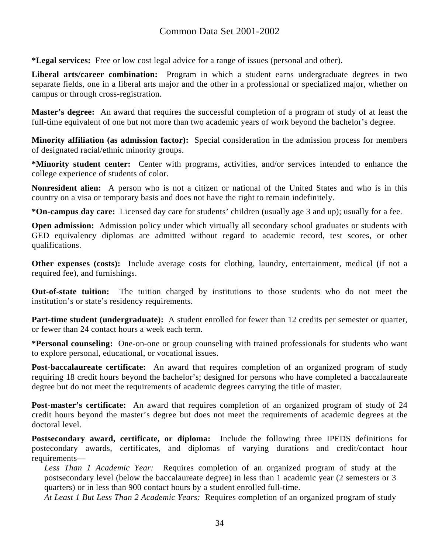**\*Legal services:** Free or low cost legal advice for a range of issues (personal and other).

**Liberal arts/career combination:** Program in which a student earns undergraduate degrees in two separate fields, one in a liberal arts major and the other in a professional or specialized major, whether on campus or through cross-registration.

**Master's degree:** An award that requires the successful completion of a program of study of at least the full-time equivalent of one but not more than two academic years of work beyond the bachelor's degree.

**Minority affiliation (as admission factor):** Special consideration in the admission process for members of designated racial/ethnic minority groups.

**\*Minority student center:** Center with programs, activities, and/or services intended to enhance the college experience of students of color.

**Nonresident alien:** A person who is not a citizen or national of the United States and who is in this country on a visa or temporary basis and does not have the right to remain indefinitely.

**\*On-campus day care:** Licensed day care for students' children (usually age 3 and up); usually for a fee.

**Open admission:** Admission policy under which virtually all secondary school graduates or students with GED equivalency diplomas are admitted without regard to academic record, test scores, or other qualifications.

**Other expenses (costs):** Include average costs for clothing, laundry, entertainment, medical (if not a required fee), and furnishings.

**Out-of-state tuition:** The tuition charged by institutions to those students who do not meet the institution's or state's residency requirements.

**Part-time student (undergraduate):** A student enrolled for fewer than 12 credits per semester or quarter, or fewer than 24 contact hours a week each term.

**\*Personal counseling:** One-on-one or group counseling with trained professionals for students who want to explore personal, educational, or vocational issues.

**Post-baccalaureate certificate:** An award that requires completion of an organized program of study requiring 18 credit hours beyond the bachelor's; designed for persons who have completed a baccalaureate degree but do not meet the requirements of academic degrees carrying the title of master.

**Post-master's certificate:** An award that requires completion of an organized program of study of 24 credit hours beyond the master's degree but does not meet the requirements of academic degrees at the doctoral level.

**Postsecondary award, certificate, or diploma:** Include the following three IPEDS definitions for postecondary awards, certificates, and diplomas of varying durations and credit/contact hour requirements—

*Less Than 1 Academic Year:* Requires completion of an organized program of study at the postsecondary level (below the baccalaureate degree) in less than 1 academic year (2 semesters or 3 quarters) or in less than 900 contact hours by a student enrolled full-time.

*At Least 1 But Less Than 2 Academic Years:* Requires completion of an organized program of study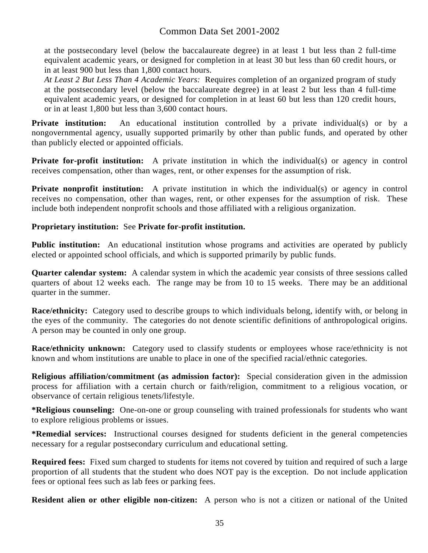at the postsecondary level (below the baccalaureate degree) in at least 1 but less than 2 full-time equivalent academic years, or designed for completion in at least 30 but less than 60 credit hours, or in at least 900 but less than 1,800 contact hours.

*At Least 2 But Less Than 4 Academic Years:* Requires completion of an organized program of study at the postsecondary level (below the baccalaureate degree) in at least 2 but less than 4 full-time equivalent academic years, or designed for completion in at least 60 but less than 120 credit hours, or in at least 1,800 but less than 3,600 contact hours.

**Private institution:** An educational institution controlled by a private individual(s) or by a nongovernmental agency, usually supported primarily by other than public funds, and operated by other than publicly elected or appointed officials.

**Private for-profit institution:** A private institution in which the individual(s) or agency in control receives compensation, other than wages, rent, or other expenses for the assumption of risk.

**Private nonprofit institution:** A private institution in which the individual(s) or agency in control receives no compensation, other than wages, rent, or other expenses for the assumption of risk. These include both independent nonprofit schools and those affiliated with a religious organization.

#### **Proprietary institution:** See **Private for-profit institution.**

**Public institution:** An educational institution whose programs and activities are operated by publicly elected or appointed school officials, and which is supported primarily by public funds.

**Quarter calendar system:** A calendar system in which the academic year consists of three sessions called quarters of about 12 weeks each. The range may be from 10 to 15 weeks. There may be an additional quarter in the summer.

**Race/ethnicity:** Category used to describe groups to which individuals belong, identify with, or belong in the eyes of the community. The categories do not denote scientific definitions of anthropological origins. A person may be counted in only one group.

**Race/ethnicity unknown:** Category used to classify students or employees whose race/ethnicity is not known and whom institutions are unable to place in one of the specified racial/ethnic categories.

**Religious affiliation/commitment (as admission factor):** Special consideration given in the admission process for affiliation with a certain church or faith/religion, commitment to a religious vocation, or observance of certain religious tenets/lifestyle.

**\*Religious counseling:** One-on-one or group counseling with trained professionals for students who want to explore religious problems or issues.

**\*Remedial services:** Instructional courses designed for students deficient in the general competencies necessary for a regular postsecondary curriculum and educational setting.

**Required fees:** Fixed sum charged to students for items not covered by tuition and required of such a large proportion of all students that the student who does NOT pay is the exception. Do not include application fees or optional fees such as lab fees or parking fees.

**Resident alien or other eligible non-citizen:** A person who is not a citizen or national of the United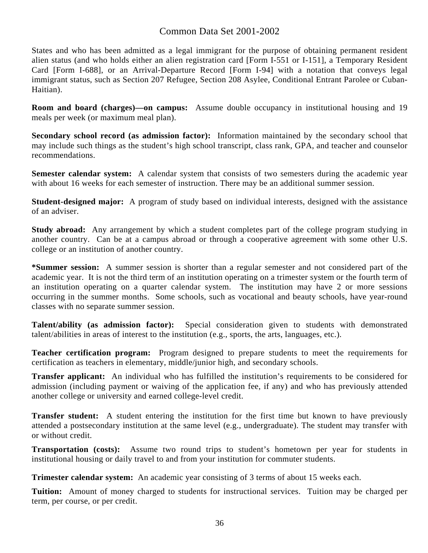States and who has been admitted as a legal immigrant for the purpose of obtaining permanent resident alien status (and who holds either an alien registration card [Form I-551 or I-151], a Temporary Resident Card [Form I-688], or an Arrival-Departure Record [Form I-94] with a notation that conveys legal immigrant status, such as Section 207 Refugee, Section 208 Asylee, Conditional Entrant Parolee or Cuban-Haitian).

**Room and board (charges)—on campus:** Assume double occupancy in institutional housing and 19 meals per week (or maximum meal plan).

**Secondary school record (as admission factor):** Information maintained by the secondary school that may include such things as the student's high school transcript, class rank, GPA, and teacher and counselor recommendations.

**Semester calendar system:** A calendar system that consists of two semesters during the academic year with about 16 weeks for each semester of instruction. There may be an additional summer session.

**Student-designed major:** A program of study based on individual interests, designed with the assistance of an adviser.

**Study abroad:** Any arrangement by which a student completes part of the college program studying in another country. Can be at a campus abroad or through a cooperative agreement with some other U.S. college or an institution of another country.

**\*Summer session:** A summer session is shorter than a regular semester and not considered part of the academic year. It is not the third term of an institution operating on a trimester system or the fourth term of an institution operating on a quarter calendar system. The institution may have 2 or more sessions occurring in the summer months. Some schools, such as vocational and beauty schools, have year-round classes with no separate summer session.

**Talent/ability (as admission factor):** Special consideration given to students with demonstrated talent/abilities in areas of interest to the institution (e.g., sports, the arts, languages, etc.).

**Teacher certification program:** Program designed to prepare students to meet the requirements for certification as teachers in elementary, middle/junior high, and secondary schools.

**Transfer applicant:** An individual who has fulfilled the institution's requirements to be considered for admission (including payment or waiving of the application fee, if any) and who has previously attended another college or university and earned college-level credit.

**Transfer student:** A student entering the institution for the first time but known to have previously attended a postsecondary institution at the same level (e.g., undergraduate). The student may transfer with or without credit.

**Transportation (costs):** Assume two round trips to student's hometown per year for students in institutional housing or daily travel to and from your institution for commuter students.

**Trimester calendar system:** An academic year consisting of 3 terms of about 15 weeks each.

**Tuition:** Amount of money charged to students for instructional services. Tuition may be charged per term, per course, or per credit.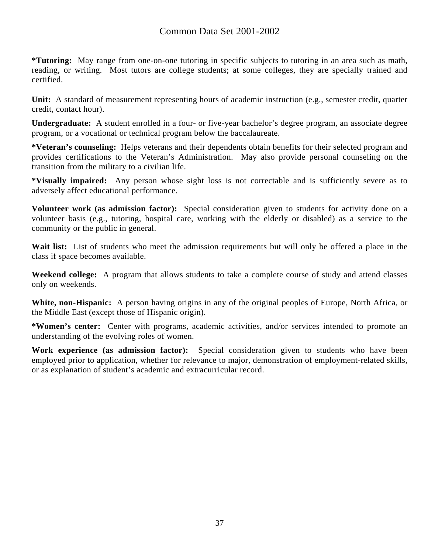**\*Tutoring:** May range from one-on-one tutoring in specific subjects to tutoring in an area such as math, reading, or writing. Most tutors are college students; at some colleges, they are specially trained and certified.

**Unit:** A standard of measurement representing hours of academic instruction (e.g., semester credit, quarter credit, contact hour).

**Undergraduate:** A student enrolled in a four- or five-year bachelor's degree program, an associate degree program, or a vocational or technical program below the baccalaureate.

**\*Veteran's counseling:** Helps veterans and their dependents obtain benefits for their selected program and provides certifications to the Veteran's Administration. May also provide personal counseling on the transition from the military to a civilian life.

**\*Visually impaired:** Any person whose sight loss is not correctable and is sufficiently severe as to adversely affect educational performance.

**Volunteer work (as admission factor):** Special consideration given to students for activity done on a volunteer basis (e.g., tutoring, hospital care, working with the elderly or disabled) as a service to the community or the public in general.

Wait list: List of students who meet the admission requirements but will only be offered a place in the class if space becomes available.

**Weekend college:** A program that allows students to take a complete course of study and attend classes only on weekends.

**White, non-Hispanic:** A person having origins in any of the original peoples of Europe, North Africa, or the Middle East (except those of Hispanic origin).

**\*Women's center:** Center with programs, academic activities, and/or services intended to promote an understanding of the evolving roles of women.

**Work experience (as admission factor):** Special consideration given to students who have been employed prior to application, whether for relevance to major, demonstration of employment-related skills, or as explanation of student's academic and extracurricular record.